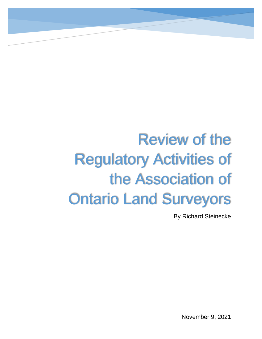# Review of the Regulatory Activities of the Association of Ontario Land Surveyors

By Richard Steinecke

November 9, 2021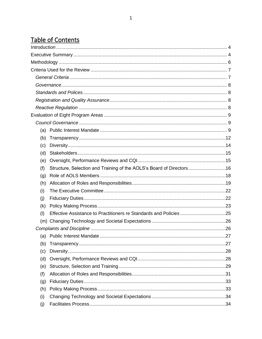# Table of Contents

| (a) |                                                                      |  |
|-----|----------------------------------------------------------------------|--|
| (b) |                                                                      |  |
| (c) |                                                                      |  |
| (d) |                                                                      |  |
| (e) |                                                                      |  |
| (f) | Structure, Selection and Training of the AOLS's Board of Directors16 |  |
| (g) |                                                                      |  |
| (h) |                                                                      |  |
| (i) |                                                                      |  |
| (i) |                                                                      |  |
| (k) |                                                                      |  |
| (1) | Effective Assistance to Practitioners re Standards and Policies 25   |  |
|     |                                                                      |  |
|     |                                                                      |  |
|     |                                                                      |  |
| (b) |                                                                      |  |
| (c) |                                                                      |  |
| (d) |                                                                      |  |
| (e) |                                                                      |  |
| (f) |                                                                      |  |
| (g) |                                                                      |  |
| (h) |                                                                      |  |
| (i) |                                                                      |  |
| (j) |                                                                      |  |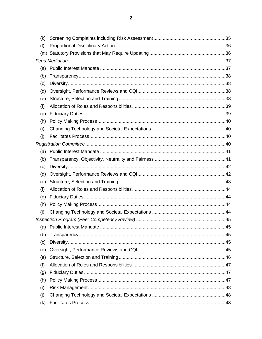| (k) |  |  |  |
|-----|--|--|--|
| (1) |  |  |  |
|     |  |  |  |
|     |  |  |  |
| (a) |  |  |  |
| (b) |  |  |  |
| (c) |  |  |  |
| (d) |  |  |  |
| (e) |  |  |  |
| (f) |  |  |  |
| (g) |  |  |  |
| (h) |  |  |  |
| (i) |  |  |  |
| (i) |  |  |  |
|     |  |  |  |
| (a) |  |  |  |
| (b) |  |  |  |
| (c) |  |  |  |
| (d) |  |  |  |
| (e) |  |  |  |
| (f) |  |  |  |
| (g) |  |  |  |
| (h) |  |  |  |
| (i) |  |  |  |
|     |  |  |  |
|     |  |  |  |
| (b) |  |  |  |
| (c) |  |  |  |
| (d) |  |  |  |
| (e) |  |  |  |
| (f) |  |  |  |
| (g) |  |  |  |
| (h) |  |  |  |
| (i) |  |  |  |
| (i) |  |  |  |
| (k) |  |  |  |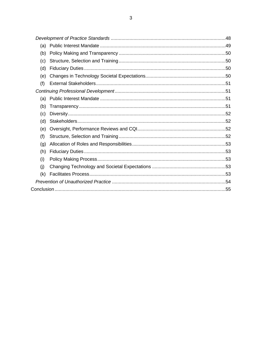| (a) |  |  |
|-----|--|--|
| (b) |  |  |
| (c) |  |  |
| (d) |  |  |
| (e) |  |  |
| (f) |  |  |
|     |  |  |
| (a) |  |  |
| (b) |  |  |
| (c) |  |  |
| (d) |  |  |
| (e) |  |  |
| (f) |  |  |
| (g) |  |  |
| (h) |  |  |
| (i) |  |  |
| (i) |  |  |
| (k) |  |  |
|     |  |  |
|     |  |  |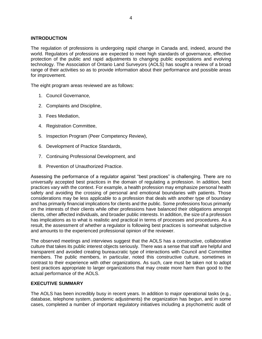# <span id="page-4-0"></span>**INTRODUCTION**

The regulation of professions is undergoing rapid change in Canada and, indeed, around the world. Regulators of professions are expected to meet high standards of governance, effective protection of the public and rapid adjustments to changing public expectations and evolving technology. The Association of Ontario Land Surveyors (AOLS) has sought a review of a broad range of their activities so as to provide information about their performance and possible areas for improvement.

The eight program areas reviewed are as follows:

- 1. Council Governance,
- 2. Complaints and Discipline,
- 3. Fees Mediation,
- 4. Registration Committee,
- 5. Inspection Program (Peer Competency Review),
- 6. Development of Practice Standards,
- 7. Continuing Professional Development, and
- 8. Prevention of Unauthorized Practice.

Assessing the performance of a regulator against "best practices" is challenging. There are no universally accepted best practices in the domain of regulating a profession. In addition, best practices vary with the context. For example, a health profession may emphasize personal health safety and avoiding the crossing of personal and emotional boundaries with patients. Those considerations may be less applicable to a profession that deals with another type of boundary and has primarily financial implications for clients and the public. Some professions focus primarily on the interests of their clients while other professions have balanced their obligations amongst clients, other affected individuals, and broader public interests. In addition, the size of a profession has implications as to what is realistic and practical in terms of processes and procedures. As a result, the assessment of whether a regulator is following best practices is somewhat subjective and amounts to the experienced professional opinion of the reviewer.

The observed meetings and interviews suggest that the AOLS has a constructive, collaborative culture that takes its public interest objects seriously. There was a sense that staff are helpful and transparent and avoided creating bureaucratic type of interactions with Council and Committee members. The public members, in particular, noted this constructive culture, sometimes in contrast to their experience with other organizations. As such, care must be taken not to adopt best practices appropriate to larger organizations that may create more harm than good to the actual performance of the AOLS.

#### <span id="page-4-1"></span>**EXECUTIVE SUMMARY**

The AOLS has been incredibly busy in recent years. In addition to major operational tasks (e.g., database, telephone system, pandemic adjustments) the organization has begun, and in some cases, completed a number of important regulatory initiatives including a psychometric audit of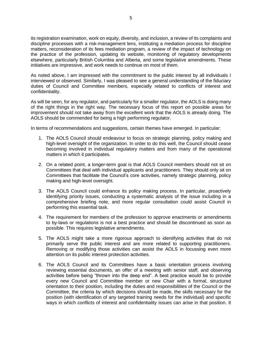its registration examination, work on equity, diversity, and inclusion, a review of its complaints and discipline processes with a risk-management lens, instituting a mediation process for discipline matters, reconsideration of its fees mediation program, a review of the impact of technology on the practice of the profession, updating its website, monitoring of regulatory developments elsewhere, particularly British Columbia and Alberta, and some legislative amendments. These initiatives are impressive, and work needs to continue on most of them.

As noted above, I am impressed with the commitment to the public interest by all individuals I interviewed or observed. Similarly, I was pleased to see a general understanding of the fiduciary duties of Council and Committee members, especially related to conflicts of interest and confidentiality.

As will be seen, for any regulator, and particularly for a smaller regulator, the AOLS is doing many of the right things in the right way. The necessary focus of this report on possible areas for improvement should not take away from the excellent work that the AOLS is already doing. The AOLS should be commended for being a high performing regulator.

In terms of recommendations and suggestions, certain themes have emerged. In particular:

- 1. The AOLS Council should endeavour to focus on strategic planning, policy making and high-level oversight of the organization. In order to do this well, the Council should cease becoming involved in individual regulatory matters and from many of the operational matters in which it participates.
- 2. On a related point, a longer-term goal is that AOLS Council members should not sit on Committees that deal with individual applicants and practitioners. They should only sit on Committees that facilitate the Council's core activities, namely strategic planning, policy making and high-level oversight.
- 3. The AOLS Council could enhance its policy making process. In particular, proactively identifying priority issues, conducting a systematic analysis of the issue including in a comprehensive briefing note, and more regular consultation could assist Council in performing this essential task.
- 4. The requirement for members of the profession to approve enactments or amendments to by-laws or regulations is not a best practice and should be discontinued as soon as possible. This requires legislative amendments.
- 5. The AOLS might take a more rigorous approach to identifying activities that do not primarily serve the public interest and are more related to supporting practitioners. Removing or modifying those activities can assist the AOLS in focussing even more attention on its public interest protection activities.
- 6. The AOLS Council and its Committees have a basic orientation process involving reviewing essential documents, an offer of a meeting with senior staff, and observing activities before being "thrown into the deep end". A best practice would be to provide every new Council and Committee member or new Chair with a formal, structured orientation to their position, including the duties and responsibilities of the Council or the Committee, the criteria by which decisions should be made, the skills necessary for the position (with identification of any targeted training needs for the individual) and specific ways in which conflicts of interest and confidentiality issues can arise in that position. It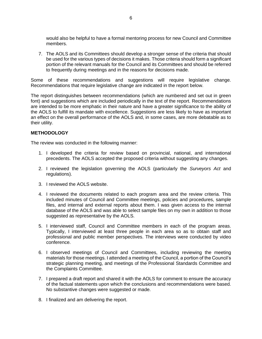would also be helpful to have a formal mentoring process for new Council and Committee members.

7. The AOLS and its Committees should develop a stronger sense of the criteria that should be used for the various types of decisions it makes. Those criteria should form a significant portion of the relevant manuals for the Council and its Committees and should be referred to frequently during meetings and in the reasons for decisions made.

Some of these recommendations and suggestions will require legislative change. Recommendations that require legislative change are indicated in the report below.

The report distinguishes between recommendations (which are numbered and set out in green font) and suggestions which are included periodically in the text of the report. Recommendations are intended to be more emphatic in their nature and have a greater significance to the ability of the AOLS to fulfill its mandate with excellence. Suggestions are less likely to have as important an effect on the overall performance of the AOLS and, in some cases, are more debatable as to their utility.

# <span id="page-6-0"></span>**METHODOLOGY**

The review was conducted in the following manner:

- 1. I developed the criteria for review based on provincial, national, and international precedents. The AOLS accepted the proposed criteria without suggesting any changes.
- 2. I reviewed the legislation governing the AOLS (particularly the *Surveyors Act* and regulations).
- 3. I reviewed the AOLS website.
- 4. I reviewed the documents related to each program area and the review criteria. This included minutes of Council and Committee meetings, policies and procedures, sample files, and internal and external reports about them. I was given access to the internal database of the AOLS and was able to select sample files on my own in addition to those suggested as representative by the AOLS.
- 5. I interviewed staff, Council and Committee members in each of the program areas. Typically, I interviewed at least three people in each area so as to obtain staff and professional and public member perspectives. The interviews were conducted by video conference.
- 6. I observed meetings of Council and Committees, including reviewing the meeting materials for those meetings. I attended a meeting of the Council, a portion of the Council's strategic planning meeting, and meetings of the Professional Standards Committee and the Complaints Committee.
- 7. I prepared a draft report and shared it with the AOLS for comment to ensure the accuracy of the factual statements upon which the conclusions and recommendations were based. No substantive changes were suggested or made.
- 8. I finalized and am delivering the report.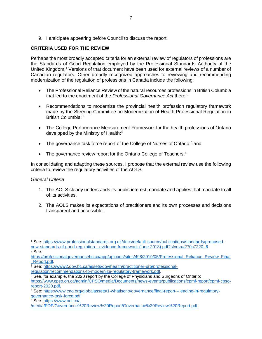9. I anticipate appearing before Council to discuss the report.

# <span id="page-7-0"></span>**CRITERIA USED FOR THE REVIEW**

Perhaps the most broadly accepted criteria for an external review of regulators of professions are the Standards of Good Regulation employed by the Professional Standards Authority of the United Kingdom.<sup>1</sup> Versions of that document have been used for external reviews of a number of Canadian regulators. Other broadly recognized approaches to reviewing and recommending modernization of the regulation of professions in Canada include the following:

- The Professional Reliance Review of the natural resources professions in British Columbia that led to the enactment of the *Professional Governance Act* there;<sup>2</sup>
- Recommendations to modernize the provincial health profession regulatory framework made by the Steering Committee on Modernization of Health Professional Regulation in British Columbia;<sup>3</sup>
- The College Performance Measurement Framework for the health professions of Ontario developed by the Ministry of Health;<sup>4</sup>
- The governance task force report of the College of Nurses of Ontario;<sup>5</sup> and
- The governance review report for the Ontario College of Teachers. $6$

In consolidating and adapting these sources, I propose that the external review use the following criteria to review the regulatory activities of the AOLS:

# <span id="page-7-1"></span>*General Criteria*

- 1. The AOLS clearly understands its public interest mandate and applies that mandate to all of its activities.
- 2. The AOLS makes its expectations of practitioners and its own processes and decisions transparent and accessible.

<sup>2</sup> See:

<sup>6</sup> See: [https://www.oct.ca/-](https://www.oct.ca/-/media/PDF/Governance%20Review%20Report/Governance%20Review%20Report.pdf)

<sup>1</sup> See: [https://www.professionalstandards.org.uk/docs/default-source/publications/standards/proposed](https://www.professionalstandards.org.uk/docs/default-source/publications/standards/proposed-new-standards-of-good-regulation---evidence-framework-(june-2018).pdf?sfvrsn=270c7220_6)[new-standards-of-good-regulation---evidence-framework-\(june-2018\).pdf?sfvrsn=270c7220\\_6.](https://www.professionalstandards.org.uk/docs/default-source/publications/standards/proposed-new-standards-of-good-regulation---evidence-framework-(june-2018).pdf?sfvrsn=270c7220_6)

[https://professionalgovernancebc.ca/app/uploads/sites/498/2019/05/Professional\\_Reliance\\_Review\\_Final](https://professionalgovernancebc.ca/app/uploads/sites/498/2019/05/Professional_Reliance_Review_Final_Report.pdf) Report.pdf

<sup>3</sup> See: [https://www2.gov.bc.ca/assets/gov/health/practitioner-pro/professional-](https://www2.gov.bc.ca/assets/gov/health/practitioner-pro/professional-regulation/recommendations-to-modernize-regulatory-framework.pdf)

[regulation/recommendations-to-modernize-regulatory-framework.pdf.](https://www2.gov.bc.ca/assets/gov/health/practitioner-pro/professional-regulation/recommendations-to-modernize-regulatory-framework.pdf)

<sup>4</sup> See, for example, the 2020 report by the College of Physicians and Surgeons of Ontario:

[https://www.cpso.on.ca/admin/CPSO/media/Documents/news-events/publications/cpmf-report/cpmf-cpso](https://www.cpso.on.ca/admin/CPSO/media/Documents/news-events/publications/cpmf-report/cpmf-cpso-report-2020.pdf)[report-2020.pdf.](https://www.cpso.on.ca/admin/CPSO/media/Documents/news-events/publications/cpmf-report/cpmf-cpso-report-2020.pdf)

<sup>5</sup> See: [https://www.cno.org/globalassets/1-whatiscno/governance/final-report---leading-in-regulatory](https://www.cno.org/globalassets/1-whatiscno/governance/final-report---leading-in-regulatory-governance-task-force.pdf)[governance-task-force.pdf.](https://www.cno.org/globalassets/1-whatiscno/governance/final-report---leading-in-regulatory-governance-task-force.pdf)

[<sup>/</sup>media/PDF/Governance%20Review%20Report/Governance%20Review%20Report.pdf.](https://www.oct.ca/-/media/PDF/Governance%20Review%20Report/Governance%20Review%20Report.pdf)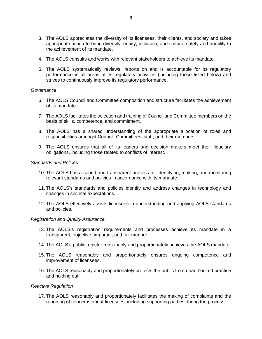- 3. The AOLS appreciates the diversity of its licensees, their clients, and society and takes appropriate action to bring diversity, equity, inclusion, and cultural safety and humility to the achievement of its mandate.
- 4. The AOLS consults and works with relevant stakeholders to achieve its mandate.
- 5. The AOLS systematically reviews, reports on and is accountable for its regulatory performance in all areas of its regulatory activities (including those listed below) and strives to continuously improve its regulatory performance.

#### <span id="page-8-0"></span>*Governance*

- 6. The AOLS Council and Committee composition and structure facilitates the achievement of its mandate.
- 7. The AOLS facilitates the selection and training of Council and Committee members on the basis of skills, competence, and commitment.
- 8. The AOLS has a shared understanding of the appropriate allocation of roles and responsibilities amongst Council, Committees, staff, and their members.
- 9. The AOLS ensures that all of its leaders and decision makers meet their fiduciary obligations, including those related to conflicts of interest.

#### <span id="page-8-1"></span>*Standards and Polices*

- 10. The AOLS has a sound and transparent process for identifying, making, and monitoring relevant standards and policies in accordance with its mandate.
- 11. The AOLS's standards and policies identify and address changes in technology and changes in societal expectations.
- 12. The AOLS effectively assists licensees in understanding and applying AOLS standards and policies.

# <span id="page-8-2"></span>*Registration and Quality Assurance*

- 13. The AOLS's registration requirements and processes achieve its mandate in a transparent, objective, impartial, and fair manner.
- 14. The AOLS's public register reasonably and proportionately achieves the AOLS mandate.
- 15. The AOLS reasonably and proportionately ensures ongoing competence and improvement of licensees.
- 16. The AOLS reasonably and proportionately protects the public from unauthorized practise and holding out.

#### <span id="page-8-3"></span>*Reactive Regulation*

17. The AOLS reasonably and proportionately facilitates the making of complaints and the reporting of concerns about licensees, including supporting parties during the process.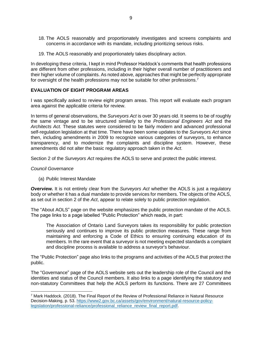- 18. The AOLS reasonably and proportionately investigates and screens complaints and concerns in accordance with its mandate, including prioritizing serious risks.
- 19. The AOLS reasonably and proportionately takes disciplinary action.

In developing these criteria, I kept in mind Professor Haddock's comments that health professions are different from other professions, including in their higher overall number of practitioners and their higher volume of complaints. As noted above, approaches that might be perfectly appropriate for oversight of the health professions may not be suitable for other professions.<sup>7</sup>

# <span id="page-9-0"></span>**EVALUATION OF EIGHT PROGRAM AREAS**

I was specifically asked to review eight program areas. This report will evaluate each program area against the applicable criteria for review.

In terms of general observations, the *Surveyors Act* is over 30 years old. It seems to be of roughly the same vintage and to be structured similarly to the *Professional Engineers Act* and the *Architects Act.* These statutes were considered to be fairly modern and advanced professional self-regulation legislation at that time. There have been some updates to the *Surveyors Act* since then, including amendments in 2009 to recognize various categories of surveyors, to enhance transparency, and to modernize the complaints and discipline system. However, these amendments did not alter the basic regulatory approach taken in the *Act*.

Section 2 of the *Surveyors Act* requires the AOLS to serve and protect the public interest.

#### <span id="page-9-1"></span>*Council Governance*

<span id="page-9-2"></span>(a) Public Interest Mandate

*Overview.* It is not entirely clear from the *Surveyors Act* whether the AOLS is just a regulatory body or whether it has a dual mandate to provide services for members. The objects of the AOLS, as set out in section 2 of the *Act*, appear to relate solely to public protection regulation.

The "About AOLS" page on the website emphasizes the public protection mandate of the AOLS. The page links to a page labelled "Public Protection" which reads, in part:

The Association of Ontario Land Surveyors takes its responsibility for public protection seriously and continues to improve its public protection measures. These range from maintaining and enforcing a Code of Ethics to ensuring continuing education of its members. In the rare event that a surveyor is not meeting expected standards a complaint and discipline process is available to address a surveyor's behaviour.

The "Public Protection" page also links to the programs and activities of the AOLS that protect the public.

The "Governance" page of the AOLS website sets out the leadership role of the Council and the identities and status of the Council members. It also links to a page identifying the statutory and non-statutory Committees that help the AOLS perform its functions. There are 27 Committees

<sup>7</sup> Mark Haddock. (2018). The Final Report of the Review of Professional Reliance in Natural Resource Decision-Making, p. 53. [https://www2.gov.bc.ca/assets/gov/environment/natural-resource-policy](https://www2.gov.bc.ca/assets/gov/environment/natural-resource-policy-legislation/professional-reliance/professional_reliance_review_final_report.pdf)[legislation/professional-reliance/professional\\_reliance\\_review\\_final\\_report.pdf.](https://www2.gov.bc.ca/assets/gov/environment/natural-resource-policy-legislation/professional-reliance/professional_reliance_review_final_report.pdf)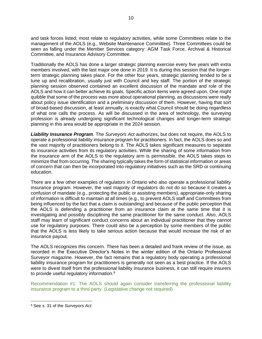and task forces listed; most relate to regulatory activities, while some Committees relate to the management of the AOLS (e.g., Website Maintenance Committee). Three Committees could be seen as falling under the Member Services category: AGM Task Force, Archival & Historical Committee, and Insurance Advisory Committee.

Traditionally the AOLS has done a larger strategic planning exercise every five years with extra members involved, with the last major one done in 2019. It is during this session that the longerterm strategic planning takes place. For the other four years, strategic planning tended to be a tune up and recalibration, usually just with Council and key staff. The portion of the strategic planning session observed contained an excellent discussion of the mandate and role of the AOLS and how it can better achieve its goals. Specific action items were agreed upon. One might quibble that some of the process was more about operational planning, as discussions were really about policy issue identification and a preliminary discussion of them. However, having that sort of broad-based discussion, at least annually, is exactly what Council should be doing regardless of what one calls the process. As will be discussed in the area of technology, the surveying profession is already undergoing significant technological changes and longer-term strategic planning in this area would be appropriate in the 2024 session.

*Liability Insurance Program*. The *Surveyors Act* authorizes, but does not require, the AOLS to operate a professional liability insurance program for practitioners. In fact, the AOLS does so and the vast majority of practitioners belong to it. The AOLS takes significant measures to separate its insurance activities from its regulatory activities. While the sharing of some information from the insurance arm of the AOLS to the regulatory arm is permissible, the AOLS takes steps to minimize that from occurring. The sharing typically takes the form of statistical information or areas of concern that can then be incorporated into regulatory initiatives such as the SRD or continuing education.

There are a few other examples of regulators in Ontario who also operate a professional liability insurance program. However, the vast majority of regulators do not do so because it creates a confusion of mandate (e.g., protecting the public or assisting members), appropriate-only sharing of information is difficult to maintain at all times (e.g., to prevent AOLS staff and Committees from being influenced by the fact that a claim is outstanding) and because of the public perception that the AOLS is defending a practitioner from an insurance claim at the same time that it is investigating and possibly disciplining the same practitioner for the same conduct. Also, AOLS staff may learn of significant conduct concerns about an individual practitioner that they cannot use for regulatory purposes. There could also be a perception by some members of the public that the AOLS is less likely to take serious action because that would increase the risk of an insurance payout.

The AOLS recognizes this concern. There has been a detailed and frank review of the issue, as recorded in the Executive Director's Notes in the winter edition of the Ontario Professional Surveyor magazine. However, the fact remains that a regulatory body operating a professional liability insurance program for practitioners is generally not seen as a best practice. If the AOLS were to divest itself from the professional liability insurance business, it can still require insurers to provide useful regulatory information.<sup>8</sup>

Recommendation #1: The AOLS should again consider transferring the professional liability insurance program to a third party. (Legislative change not required)

<sup>8</sup> See s. 31 of the *Surveyors Act*.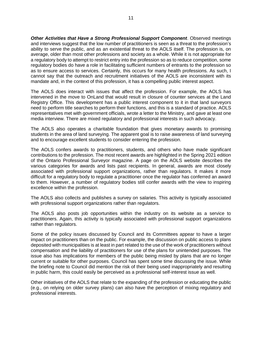*Other Activities that Have a Strong Professional Support Component*. Observed meetings and interviews suggest that the low number of practitioners is seen as a threat to the profession's ability to serve the public, and as an existential threat to the AOLS itself. The profession is, on average, older than most other professions and society as a whole. While it is not appropriate for a regulatory body to attempt to restrict entry into the profession so as to reduce competition, some regulatory bodies do have a role in facilitating sufficient numbers of entrants to the profession so as to ensure access to services. Certainly, this occurs for many health professions. As such, I cannot say that the outreach and recruitment initiatives of the AOLS are inconsistent with its mandate and, in the context of this profession, it has a compelling public interest aspect.

The AOLS does interact with issues that affect the profession. For example, the AOLS has intervened in the move to OnLand that would result in closure of counter services at the Land Registry Office. This development has a public interest component to it in that land surveyors need to perform title searches to perform their functions, and this is a standard of practice. AOLS representatives met with government officials, wrote a letter to the Ministry, and gave at least one media interview. There are mixed regulatory and professional interests in such advocacy.

The AOLS also operates a charitable foundation that gives monetary awards to promising students in the area of land surveying. The apparent goal is to raise awareness of land surveying and to encourage excellent students to consider entering the profession.

The AOLS confers awards to practitioners, students, and others who have made significant contributions to the profession. The most recent awards are highlighted in the Spring 2021 edition of the Ontario Professional Surveyor magazine. A page on the AOLS website describes the various categories for awards and lists past recipients. In general, awards are most closely associated with professional support organizations, rather than regulators. It makes it more difficult for a regulatory body to regulate a practitioner once the regulator has conferred an award to them. However, a number of regulatory bodies still confer awards with the view to inspiring excellence within the profession.

The AOLS also collects and publishes a survey on salaries. This activity is typically associated with professional support organizations rather than regulators.

The AOLS also posts job opportunities within the industry on its website as a service to practitioners. Again, this activity is typically associated with professional support organizations rather than regulators.

Some of the policy issues discussed by Council and its Committees appear to have a larger impact on practitioners than on the public. For example, the discussion on public access to plans deposited with municipalities is at least in part related to the use of the work of practitioners without compensation and the liability of practitioners for use of the plans for unintended purposes. The issue also has implications for members of the public being misled by plans that are no longer current or suitable for other purposes. Council has spent some time discussing the issue. While the briefing note to Council did mention the risk of their being used inappropriately and resulting in public harm, this could easily be perceived as a professional self-interest issue as well.

Other initiatives of the AOLS that relate to the expanding of the profession or educating the public (e.g., on relying on older survey plans) can also have the perception of mixing regulatory and professional interests.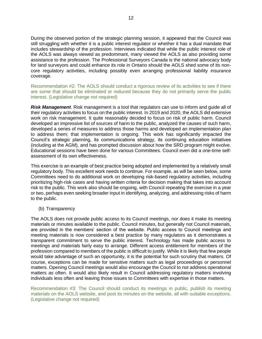During the observed portion of the strategic planning session, it appeared that the Council was still struggling with whether it is a public interest regulator or whether it has a dual mandate that includes stewardship of the profession. Interviews indicated that while the public interest role of the AOLS was always viewed as predominant, many viewed the AOLS as also providing some assistance to the profession. The Professional Surveyors Canada is the national advocacy body for land surveyors and could enhance its role in Ontario should the AOLS shed some of its noncore regulatory activities, including possibly even arranging professional liability insurance coverage.

Recommendation #2: The AOLS should conduct a rigorous review of its activities to see if there are some that should be eliminated or reduced because they do not primarily serve the public interest. (Legislative change not required)

*Risk Management*. Risk management is a tool that regulators can use to inform and guide all of their regulatory activities to focus on the public interest. In 2019 and 2020, the AOLS did extensive work on risk management. It quite reasonably decided to focus on risk of public harm. Council developed an impressive list of sources of harm to the public, analyzed the causes of such harm, developed a series of measures to address those harms and developed an implementation plan to address them; that implementation is ongoing. This work has significantly impacted the Council's strategic planning, its communications strategy, its continuing education initiatives (including at the AGM), and has prompted discussion about how the SRD program might evolve. Educational sessions have been done for various Committees. Council even did a one-time selfassessment of its own effectiveness.

This exercise is an example of best practice being adopted and implemented by a relatively small regulatory body. This excellent work needs to continue. For example, as will be seen below, some Committees need to do additional work on developing risk-based regulatory activities, including prioritizing high-risk cases and having written criteria for decision making that takes into account risk to the public. This work also should be ongoing, with Council repeating the exercise in a year or two, perhaps even seeking broader input in identifying, analyzing, and addressing risks of harm to the public.

<span id="page-12-0"></span>(b) Transparency

The AOLS does not provide public access to its Council meetings, nor does it make its meeting materials or minutes available to the public. Council minutes, but generally not Council materials, are provided in the members' section of the website. Public access to Council meetings and meeting materials is now considered a best practice by many regulators as it demonstrates a transparent commitment to serve the public interest. Technology has made public access to meetings and materials fairly easy to arrange. Different access entitlement for members of the profession compared to members of the public is difficult to justify. While it is likely that few people would take advantage of such an opportunity, it is the potential for such scrutiny that matters. Of course, exceptions can be made for sensitive matters such as legal proceedings or personnel matters. Opening Council meetings would also encourage the Council to not address operational matters as often. It would also likely result in Council addressing regulatory matters involving individuals less often and leaving those issues to Committees with expertise in those matters.

Recommendation #3: The Council should conduct its meetings in public, publish its meeting materials on the AOLS website, and post its minutes on the website, all with suitable exceptions. (Legislative change not required)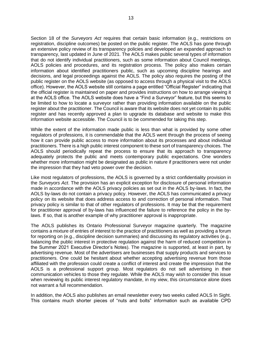Section 18 of the *Surveyors Act* requires that certain basic information (e.g., restrictions on registration, discipline outcomes) be posted on the public register. The AOLS has gone through an extensive policy review of its transparency policies and developed an expanded approach to transparency, last updated in June of 2021. The AOLS makes public several types of information that do not identify individual practitioners, such as some information about Council meetings, AOLS policies and procedures, and its registration process. The policy also makes certain information about identified practitioners public, such as upcoming discipline hearings and decisions, and legal proceedings against the AOLS. The policy also requires the posting of the public register on the AOLS website (as opposed to access through a physical visit to the AOLS office). However, the AOLS website still contains a page entitled "Official Register" indicating that the official register is maintained on paper and provides instructions on how to arrange viewing it at the AOLS office. The AOLS website does have a "Find a Surveyor" feature, but this seems to be limited to how to locate a surveyor rather than providing information available on the public register about the practitioner. The Council is aware that its website does not yet contain its public register and has recently approved a plan to upgrade its database and website to make this information website accessible. The Council is to be commended for taking this step.

While the extent of the information made public is less than what is provided by some other regulators of professions, it is commendable that the AOLS went through the process of seeing how it can provide public access to more information about its processes and about individual practitioners. There is a high public interest component to these sort of transparency choices. The AOLS should periodically repeat the process to ensure that its approach to transparency adequately protects the public and meets contemporary public expectations. One wonders whether more information might be designated as public in nature if practitioners were not under the impression that they had veto power over the decision.

Like most regulators of professions, the AOLS is governed by a strict confidentiality provision in the *Surveyors Act*. The provision has an explicit exception for disclosure of personal information made in accordance with the AOLS privacy policies as set out in the AOLS by-laws. In fact, the AOLS by-laws do not contain a privacy policy. However, the AOLS has communicated a privacy policy on its website that does address access to and correction of personal information. That privacy policy is similar to that of other regulators of professions. It may be that the requirement for practitioner approval of by-laws has influenced the failure to reference the policy in the bylaws. If so, that is another example of why practitioner approval is inappropriate.

The AOLS publishes its Ontario Professional Surveyor magazine quarterly. The magazine contains a mixture of entries of interest to the practice of practitioners as well as providing a forum for reporting on (e.g., discipline decision summaries) and discussing its regulatory activities (e.g., balancing the public interest in protective regulation against the harm of reduced competition in the Summer 2021 Executive Director's Notes). The magazine is supported, at least in part, by advertising revenue. Most of the advertisers are businesses that supply products and services to practitioners. One could be hesitant about whether accepting advertising revenue from those affiliated with the profession could create a conflict of interest and create the impression that the AOLS is a professional support group. Most regulators do not sell advertising in their communication vehicles to those they regulate. While the AOLS may wish to consider this issue when reviewing its public interest regulatory mandate, in my view, this circumstance alone does not warrant a full recommendation.

In addition, the AOLS also publishes an email newsletter every two weeks called AOLS In Sight. This contains much shorter pieces of "nuts and bolts" information such as available CPD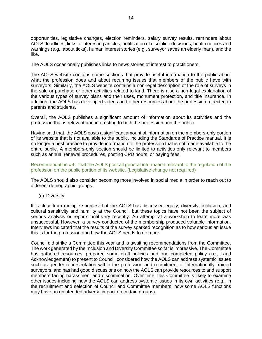opportunities, legislative changes, election reminders, salary survey results, reminders about AOLS deadlines, links to interesting articles, notification of discipline decisions, health notices and warnings (e.g., about ticks), human interest stories (e.g., surveyor saves an elderly man), and the like.

The AOLS occasionally publishes links to news stories of interest to practitioners.

The AOLS website contains some sections that provide useful information to the public about what the profession does and about recurring issues that members of the public have with surveyors. Similarly, the AOLS website contains a non-legal description of the role of surveys in the sale or purchase or other activities related to land. There is also a non-legal explanation of the various types of survey plans and their uses, monument protection, and title insurance. In addition, the AOLS has developed videos and other resources about the profession, directed to parents and students.

Overall, the AOLS publishes a significant amount of information about its activities and the profession that is relevant and interesting to both the profession and the public.

Having said that, the AOLS posts a significant amount of information on the members-only portion of its website that is not available to the public, including the Standards of Practice manual. It is no longer a best practice to provide information to the profession that is not made available to the entire public. A members-only section should be limited to activities only relevant to members such as annual renewal procedures, posting CPD hours, or paying fees.

Recommendation #4: That the AOLS post all general information relevant to the regulation of the profession on the public portion of its website. (Legislative change not required)

The AOLS should also consider becoming more involved in social media in order to reach out to different demographic groups.

<span id="page-14-0"></span>(c) Diversity

It is clear from multiple sources that the AOLS has discussed equity, diversity, inclusion, and cultural sensitivity and humility at the Council, but these topics have not been the subject of serious analysis or reports until very recently. An attempt at a workshop to learn more was unsuccessful. However, a survey conducted of the membership produced valuable information. Interviews indicated that the results of the survey sparked recognition as to how serious an issue this is for the profession and how the AOLS needs to do more.

Council did strike a Committee this year and is awaiting recommendations from the Committee. The work generated by the Inclusion and Diversity Committee so far is impressive. The Committee has gathered resources, prepared some draft policies and one completed policy (i.e., Land Acknowledgement) to present to Council, considered how the AOLS can address systemic issues such as gender representation within the profession and recruitment of internationally trained surveyors, and has had good discussions on how the AOLS can provide resources to and support members facing harassment and discrimination. Over time, this Committee is likely to examine other issues including how the AOLS can address systemic issues in its own activities (e.g., in the recruitment and selection of Council and Committee members; how some AOLS functions may have an unintended adverse impact on certain groups).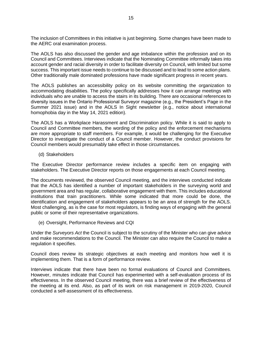The inclusion of Committees in this initiative is just beginning. Some changes have been made to the AERC oral examination process.

The AOLS has also discussed the gender and age imbalance within the profession and on its Council and Committees. Interviews indicate that the Nominating Committee informally takes into account gender and racial diversity in order to facilitate diversity on Council, with limited but some success. This important issue needs to continue to be discussed and to lead to some action plans. Other traditionally male dominated professions have made significant progress in recent years.

The AOLS publishes an accessibility policy on its website committing the organization to accommodating disabilities. The policy specifically addresses how it can arrange meetings with individuals who are unable to access the stairs in its building. There are occasional references to diversity issues in the Ontario Professional Surveyor magazine (e.g., the President's Page in the Summer 2021 issue) and in the AOLS In Sight newsletter (e.g., notice about international homophobia day in the May 14, 2021 edition).

The AOLS has a Workplace Harassment and Discrimination policy. While it is said to apply to Council and Committee members, the wording of the policy and the enforcement mechanisms are more appropriate to staff members. For example, it would be challenging for the Executive Director to investigate the conduct of a Council member. However, the conduct provisions for Council members would presumably take effect in those circumstances.

<span id="page-15-0"></span>(d) Stakeholders

The Executive Director performance review includes a specific item on engaging with stakeholders. The Executive Director reports on those engagements at each Council meeting.

The documents reviewed, the observed Council meeting, and the interviews conducted indicate that the AOLS has identified a number of important stakeholders in the surveying world and government area and has regular, collaborative engagement with them. This includes educational institutions that train practitioners. While some indicated that more could be done, the identification and engagement of stakeholders appears to be an area of strength for the AOLS. Most challenging, as is the case for most regulators, is finding ways of engaging with the general public or some of their representative organizations.

<span id="page-15-1"></span>(e) Oversight, Performance Reviews and CQI

Under the *Surveyors Act* the Council is subject to the scrutiny of the Minister who can give advice and make recommendations to the Council. The Minister can also require the Council to make a regulation it specifies.

Council does review its strategic objectives at each meeting and monitors how well it is implementing them. That is a form of performance review.

Interviews indicate that there have been no formal evaluations of Council and Committees. However, minutes indicate that Council has experimented with a self-evaluation process of its effectiveness. In the observed Council meeting, there was a brief review of the effectiveness of the meeting at its end. Also, as part of its work on risk management in 2019-2020, Council conducted a self-assessment of its effectiveness.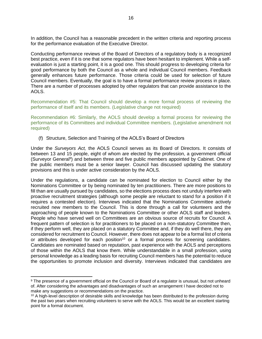In addition, the Council has a reasonable precedent in the written criteria and reporting process for the performance evaluation of the Executive Director.

Conducting performance reviews of the Board of Directors of a regulatory body is a recognized best practice, even if it is one that some regulators have been hesitant to implement. While a selfevaluation is just a starting point, it is a good one. This should progress to developing criteria for good performance by both the Council as a whole and individual Council members. Feedback generally enhances future performance. Those criteria could be used for selection of future Council members. Eventually, the goal is to have a formal performance review process in place. There are a number of processes adopted by other regulators that can provide assistance to the AOLS.

Recommendation #5: That Council should develop a more formal process of reviewing the performance of itself and its members. (Legislative change not required)

Recommendation #6: Similarly, the AOLS should develop a formal process for reviewing the performance of its Committees and individual Committee members. (Legislative amendment not required)

<span id="page-16-0"></span>(f) Structure, Selection and Training of the AOLS's Board of Directors

Under the *Surveyors Act,* the AOLS Council serves as its Board of Directors. It consists of between 13 and 15 people, eight of whom are elected by the profession, a government official (Surveyor General<sup>9</sup>) and between three and five public members appointed by Cabinet. One of the public members must be a senior lawyer. Council has discussed updating the statutory provisions and this is under active consideration by the AOLS.

Under the regulations, a candidate can be nominated for election to Council either by the Nominations Committee or by being nominated by ten practitioners. There are more positions to fill than are usually pursued by candidates, so the elections process does not unduly interfere with proactive recruitment strategies (although some people are reluctant to stand for a position if it requires a contested election). Interviews indicated that the Nominations Committee actively recruited new members to the Council. This is done through a call for volunteers and the approaching of people known to the Nominations Committee or other AOLS staff and leaders. People who have served well on Committees are an obvious source of recruits for Council. A frequent pattern of selection is for practitioners to be placed on a non-statutory Committee then, if they perform well, they are placed on a statutory Committee and, if they do well there, they are considered for recruitment to Council. However, there does not appear to be a formal list of criteria or attributes developed for each position<sup>10</sup> or a formal process for screening candidates. Candidates are nominated based on reputation, past experience with the AOLS and perceptions of those within the AOLS that know them. While understandable in a small profession, using personal knowledge as a leading basis for recruiting Council members has the potential to reduce the opportunities to promote inclusion and diversity. Interviews indicated that candidates are

<sup>9</sup> The presence of a government official on the Council or Board of a regulator is unusual, but not unheard of. After considering the advantages and disadvantages of such an arrangement I have decided not to make any suggestions or recommendations on the practice.

 $10$  A high-level description of desirable skills and knowledge has been distributed to the profession during the past two years when recruiting volunteers to serve with the AOLS. This would be an excellent starting point for a formal document.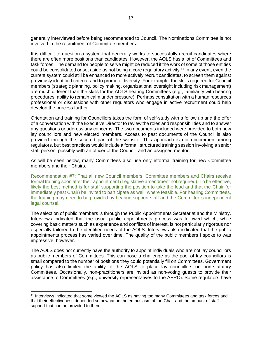generally interviewed before being recommended to Council. The Nominations Committee is not involved in the recruitment of Committee members.

It is difficult to question a system that generally works to successfully recruit candidates where there are often more positions than candidates. However, the AOLS has a lot of Committees and task forces. The demand for people to serve might be reduced if the work of some of those entities could be consolidated or set aside as not being a core regulatory activity.<sup>11</sup> In any event, even the current system could still be enhanced to more actively recruit candidates, to screen them against previously identified criteria, and to promote diversity. For example, the skills required for Council members (strategic planning, policy making, organizational oversight including risk management) are much different than the skills for the AOLS hearing Committees (e.g., familiarity with hearing procedures, ability to remain calm under pressure). Perhaps consultation with a human resources professional or discussions with other regulators who engage in active recruitment could help develop the process further.

Orientation and training for Councillors takes the form of self-study with a follow up and the offer of a conversation with the Executive Director to review the roles and responsibilities and to answer any questions or address any concerns. The two documents included were provided to both new lay councillors and new elected members. Access to past documents of the Council is also provided through the secured part of the website. This approach is not uncommon among regulators, but best practices would include a formal, structured training session involving a senior staff person, possibly with an officer of the Council, and an assigned mentor.

As will be seen below, many Committees also use only informal training for new Committee members and their Chairs.

Recommendation #7: That all new Council members, Committee members and Chairs receive formal training soon after their appointment (Legislative amendment not required). To be effective, likely the best method is for staff supporting the position to take the lead and that the Chair (or immediately past Chair) be invited to participate as well, where feasible. For hearing Committees, the training may need to be provided by hearing support staff and the Committee's independent legal counsel.

The selection of public members is through the Public Appointments Secretariat and the Ministry. Interviews indicated that the usual public appointments process was followed which, while covering basic matters such as experience and conflicts of interest, is not particularly rigorous nor especially tailored to the identified needs of the AOLS. Interviews also indicated that the public appointments process has varied over time. The quality of the public members I spoke to was impressive, however.

The AOLS does not currently have the authority to appoint individuals who are not lay councillors as public members of Committees. This can pose a challenge as the pool of lay councillors is small compared to the number of positions they could potentially fill on Committees. Government policy has also limited the ability of the AOLS to place lay councillors on non-statutory Committees. Occasionally, non-practitioners are invited as non-voting guests to provide their assistance to Committees (e.g., university representatives to the AERC). Some regulators have

<sup>&</sup>lt;sup>11</sup> Interviews indicated that some viewed the AOLS as having too many Committees and task forces and that their effectiveness depended somewhat on the enthusiasm of the Chair and the amount of staff support that can be provided to them.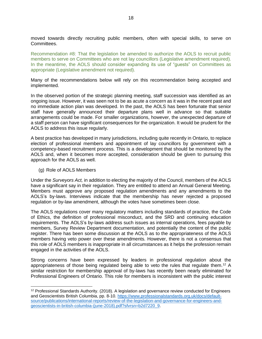moved towards directly recruiting public members, often with special skills, to serve on Committees.

Recommendation #8: That the legislation be amended to authorize the AOLS to recruit public members to serve on Committees who are not lay councillors (Legislative amendment required). In the meantime, the AOLS should consider expanding its use of "guests" on Committees as appropriate (Legislative amendment not required).

Many of the recommendations below will rely on this recommendation being accepted and implemented.

In the observed portion of the strategic planning meeting, staff succession was identified as an ongoing issue. However, it was seen not to be as acute a concern as it was in the recent past and no immediate action plan was developed. In the past, the AOLS has been fortunate that senior staff have generally announced their departure plans well in advance so that suitable arrangements could be made. For smaller organizations, however, the unexpected departure of a staff person can have significant consequences for the organization. It would be prudent for the AOLS to address this issue regularly.

A best practice has developed in many jurisdictions, including quite recently in Ontario, to replace election of professional members and appointment of lay councillors by government with a competency-based recruitment process. This is a development that should be monitored by the AOLS and, when it becomes more accepted, consideration should be given to pursuing this approach for the AOLS as well.

#### <span id="page-18-0"></span>(g) Role of AOLS Members

Under the *Surveyors Act,* in addition to electing the majority of the Council, members of the AOLS have a significant say in their regulation. They are entitled to attend an Annual General Meeting. Members must approve any proposed regulation amendments and any amendments to the AOLS's by-laws. Interviews indicate that the membership has never rejected a proposed regulation or by-law amendment, although the votes have sometimes been close.

The AOLS regulations cover many regulatory matters including standards of practice, the Code of Ethics, the definition of professional misconduct, and the SRD and continuing education requirements. The AOLS's by-laws address such issues as internal operations, fees payable by members, Survey Review Department documentation, and potentially the content of the public register. There has been some discussion at the AOLS as to the appropriateness of the AOLS members having veto power over these amendments. However, there is not a consensus that this role of AOLS members is inappropriate in all circumstances as it helps the profession remain engaged in the activities of the AOLS.

Strong concerns have been expressed by leaders in professional regulation about the appropriateness of those being regulated being able to veto the rules that regulate them.<sup>12</sup> A similar restriction for membership approval of by-laws has recently been nearly eliminated for Professional Engineers of Ontario. This role for members is inconsistent with the public interest

<sup>12</sup> Professional Standards Authority. (2018). A legislation and governance review conducted for Engineers and Geoscientists British Columbia, pp. 8-10. [https://www.professionalstandards.org.uk/docs/default](https://www.professionalstandards.org.uk/docs/default-source/publications/international-reports/review-of-the-legislation-and-governance-for-engineers-and-geoscientists-in-british-columbia-(june-2018).pdf?sfvrsn=b2d7220_9)[source/publications/international-reports/review-of-the-legislation-and-governance-for-engineers-and](https://www.professionalstandards.org.uk/docs/default-source/publications/international-reports/review-of-the-legislation-and-governance-for-engineers-and-geoscientists-in-british-columbia-(june-2018).pdf?sfvrsn=b2d7220_9)[geoscientists-in-british-columbia-\(june-2018\).pdf?sfvrsn=b2d7220\\_9.](https://www.professionalstandards.org.uk/docs/default-source/publications/international-reports/review-of-the-legislation-and-governance-for-engineers-and-geoscientists-in-british-columbia-(june-2018).pdf?sfvrsn=b2d7220_9)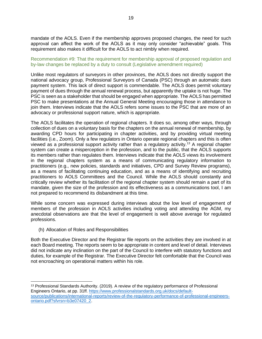mandate of the AOLS. Even if the membership approves proposed changes, the need for such approval can affect the work of the AOLS as it may only consider "achievable" goals. This requirement also makes it difficult for the AOLS to act nimbly when required.

# Recommendation #9: That the requirement for membership approval of proposed regulation and by-law changes be replaced by a duty to consult (Legislative amendment required)

Unlike most regulators of surveyors in other provinces, the AOLS does not directly support the national advocacy group, Professional Surveyors of Canada (PSC) through an automatic dues payment system. This lack of direct support is commendable. The AOLS does permit voluntary payment of dues through the annual renewal process, but apparently the uptake is not huge. The PSC is seen as a stakeholder that should be engaged when appropriate. The AOLS has permitted PSC to make presentations at the Annual General Meeting encouraging those in attendance to join them. Interviews indicate that the AOLS refers some issues to the PSC that are more of an advocacy or professional support nature, which is appropriate.

The AOLS facilitates the operation of regional chapters. It does so, among other ways, through collection of dues on a voluntary basis for the chapters on the annual renewal of membership, by awarding CPD hours for participating in chapter activities, and by providing virtual meeting facilities (i.e., Zoom). Only a few regulators in Ontario operate regional chapters and this is often viewed as a professional support activity rather than a regulatory activity.<sup>13</sup> A regional chapter system can create a misperception in the profession, and to the public, that the AOLS supports its members rather than regulates them. Interviews indicate that the AOLS views its involvement in the regional chapters system as a means of communicating regulatory information to practitioners (e.g., new policies, standards and initiatives, CPD and Survey Review programs), as a means of facilitating continuing education, and as a means of identifying and recruiting practitioners to AOLS Committees and the Council. While the AOLS should constantly and critically review whether its facilitation of the regional chapter system should remain a part of its mandate, given the size of the profession and its effectiveness as a communications tool, I am not prepared to recommend its disbandment at this time.

While some concern was expressed during interviews about the low level of engagement of members of the profession in AOLS activities including voting and attending the AGM, my anecdotal observations are that the level of engagement is well above average for regulated professions.

<span id="page-19-0"></span>(h) Allocation of Roles and Responsibilities

Both the Executive Director and the Registrar file reports on the activities they are involved in at each Board meeting. The reports seem to be appropriate in content and level of detail. Interviews did not indicate any inclination on the part of the Council to interfere with statutory functions and duties, for example of the Registrar. The Executive Director felt comfortable that the Council was not encroaching on operational matters within his role.

<sup>&</sup>lt;sup>13</sup> Professional Standards Authority. (2019). A review of the regulatory performance of Professional Engineers Ontario, at pp. 31ff. [https://www.professionalstandards.org.uk/docs/default](https://www.professionalstandards.org.uk/docs/default-source/publications/international-reports/review-of-the-regulatory-performance-of-professional-engineers-ontario.pdf?sfvrsn=b3e07420_2)[source/publications/international-reports/review-of-the-regulatory-performance-of-professional-engineers](https://www.professionalstandards.org.uk/docs/default-source/publications/international-reports/review-of-the-regulatory-performance-of-professional-engineers-ontario.pdf?sfvrsn=b3e07420_2)[ontario.pdf?sfvrsn=b3e07420\\_2.](https://www.professionalstandards.org.uk/docs/default-source/publications/international-reports/review-of-the-regulatory-performance-of-professional-engineers-ontario.pdf?sfvrsn=b3e07420_2)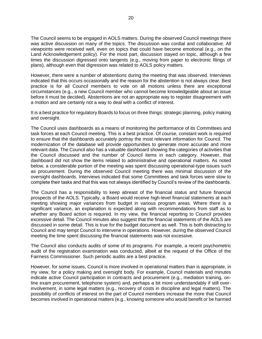The Council seems to be engaged in AOLS matters. During the observed Council meetings there was active discussion on many of the topics. The discussion was cordial and collaborative. All viewpoints were received well, even on topics that could have become emotional (e.g., on the Land Acknowledgement policy). For the most part, discussion stayed on topic, although a few times the discussion digressed onto tangents (e.g., moving from paper to electronic filings of plans), although even that digression was related to AOLS policy matters.

However, there were a number of abstentions during the meeting that was observed. Interviews indicated that this occurs occasionally and the reason for the abstention is not always clear. Best practice is for all Council members to vote on all motions unless there are exceptional circumstances (e.g., a new Council member who cannot become knowledgeable about an issue before it must be decided). Abstentions are not an appropriate way to register disagreement with a motion and are certainly not a way to deal with a conflict of interest.

It is a best practice for regulatory Boards to focus on three things: strategic planning, policy making and oversight.

The Council uses dashboards as a means of monitoring the performance of its Committees and task forces at each Council meeting. This is a best practice. Of course, constant work is required to ensure that the dashboards accurately portray the most relevant information for Council. The modernization of the database will provide opportunities to generate more accurate and more relevant data. The Council also has a valuable dashboard showing the categories of activities that the Council discussed and the number of Council items in each category. However, that dashboard did not show the items related to administrative and operational matters. As noted below, a considerable portion of the meeting was spent discussing operational-type issues such as procurement. During the observed Council meeting there was minimal discussion of the oversight dashboards. Interviews indicated that some Committees and task forces were slow to complete their tasks and that this was not always identified by Council's review of the dashboards.

The Council has a responsibility to keep abreast of the financial status and future financial prospects of the AOLS. Typically, a Board would receive high-level financial statements at each meeting showing major variances from budget in various program areas. Where there is a significant variance, an explanation is expected along with recommendations from staff as to whether any Board action is required. In my view, the financial reporting to Council provides excessive detail. The Council minutes also suggest that the financial statements of the AOLS are discussed in some detail. This is true for the budget document as well. This is both distracting to Council and may tempt Council to intervene in operations. However, during the observed Council meeting the time spent discussing the financial statements was not excessive.

The Council also conducts audits of some of its programs. For example, a recent psychometric audit of the registration examination was conducted, albeit at the request of the Office of the Fairness Commissioner. Such periodic audits are a best practice.

However, for some issues, Council is more involved in operational matters than is appropriate, in my view, for a policy making and oversight body. For example, Council materials and minutes indicate active Council participation in contracts and procurement (e.g., mediation training, online exam procurement, telephone system) and, perhaps a bit more understandably if still overinvolvement, in some legal matters (e.g., recovery of costs in discipline and legal matters). The possibility of conflicts of interest on the part of Council members increase the more that Council becomes involved in operational matters (e.g., knowing someone who would benefit or be harmed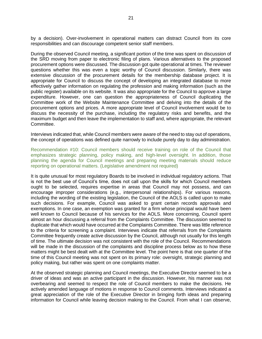by a decision). Over-involvement in operational matters can distract Council from its core responsibilities and can discourage competent senior staff members.

During the observed Council meeting, a significant portion of the time was spent on discussion of the SRD moving from paper to electronic filing of plans. Various alternatives to the proposed procurement options were discussed. The discussion got quite operational at times. The reviewer questions whether this was even a topic worthy of Council discussion. Similarly, there was extensive discussion of the procurement details for the membership database project. It is appropriate for Council to discuss the concept of developing an integrated database to more effectively gather information on regulating the profession and making information (such as the public register) available on its website. It was also appropriate for the Council to approve a large expenditure. However, one can question the appropriateness of Council duplicating the Committee work of the Website Maintenance Committee and delving into the details of the procurement options and prices. A more appropriate level of Council involvement would be to discuss the necessity of the purchase, including the regulatory risks and benefits, and the maximum budget and then leave the implementation to staff and, where appropriate, the relevant Committee.

Interviews indicated that, while Council members were aware of the need to stay out of operations, the concept of operations was defined quite narrowly to include purely day to day administration.

Recommendation #10: Council members should receive training on role of the Council that emphasizes strategic planning, policy making, and high-level oversight. In addition, those planning the agenda for Council meetings and preparing meeting materials should reduce reporting on operational matters. (Legislative amendment not required)

It is quite unusual for most regulatory Boards to be involved in individual regulatory actions. That is not the best use of Council's time, does not call upon the skills for which Council members ought to be selected, requires expertise in areas that Council may not possess, and can encourage improper considerations (e.g., interpersonal relationships). For various reasons, including the wording of the existing legislation, the Council of the AOLS is called upon to make such decisions. For example, Council was asked to grant certain records approvals and exemptions. In one case, an exemption was granted for a firm whose principal would have been well known to Council because of his services for the AOLS. More concerning, Council spent almost an hour discussing a referral from the Complaints Committee. The discussion seemed to duplicate that which would have occurred at the Complaints Committee. There was little reference to the criteria for screening a complaint. Interviews indicate that referrals from the Complaints Committee frequently create active discussion by the Council, although not usually for this length of time. The ultimate decision was not consistent with the role of the Council. Recommendations will be made in the discussion of the complaints and discipline process below as to how these matters might be best dealt with at the Committee level. The point here is that one quarter of the time of this Council meeting was not spent on its primary role: oversight, strategic planning and policy making, but rather was spent on one complaints matter.

At the observed strategic planning and Council meetings, the Executive Director seemed to be a driver of ideas and was an active participant in the discussion. However, his manner was not overbearing and seemed to respect the role of Council members to make the decisions. He actively amended language of motions in response to Council comments. Interviews indicated a great appreciation of the role of the Executive Director in bringing forth ideas and preparing information for Council while leaving decision making to the Council. From what I can observe,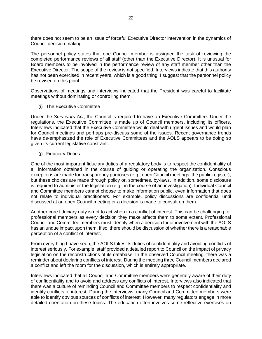there does not seem to be an issue of forceful Executive Director intervention in the dynamics of Council decision making.

The personnel policy states that one Council member is assigned the task of reviewing the completed performance reviews of all staff (other than the Executive Director). It is unusual for Board members to be involved in the performance review of any staff member other than the Executive Director. The scope of the review is not specified. Interviews indicate that this authority has not been exercised in recent years, which is a good thing. I suggest that the personnel policy be revised on this point.

Observations of meetings and interviews indicated that the President was careful to facilitate meetings without dominating or controlling them.

<span id="page-22-0"></span>(i) The Executive Committee

Under the *Surveyors Act*, the Council is required to have an Executive Committee. Under the regulations, the Executive Committee is made up of Council members, including its officers. Interviews indicated that the Executive Committee would deal with urgent issues and would plan for Council meetings and perhaps pre-discuss some of the issues. Recent governance trends have de-emphasized the role of Executive Committees and the AOLS appears to be doing so given its current legislative constraint.

<span id="page-22-1"></span>(j) Fiduciary Duties

One of the most important fiduciary duties of a regulatory body is to respect the confidentiality of all information obtained in the course of guiding or operating the organization. Conscious exceptions are made for transparency purposes (e.g., open Council meetings, the public register), but these choices are made through policy or, sometimes, by-laws. In addition, some disclosure is required to administer the legislation (e.g., in the course of an investigation). Individual Council and Committee members cannot choose to make information public, even information that does not relate to individual practitioners. For example, policy discussions are confidential until discussed at an open Council meeting or a decision is made to consult on them.

Another core fiduciary duty is not to act when in a conflict of interest. This can be challenging for professional members as every decision they make affects them to some extent. Professional Council and Committee members must identify when a decision for or involvement with the AOLS has an undue impact upon them. If so, there should be discussion of whether there is a reasonable perception of a conflict of interest.

From everything I have seen, the AOLS takes its duties of confidentiality and avoiding conflicts of interest seriously. For example, staff provided a detailed report to Council on the impact of privacy legislation on the reconstructions of its database. In the observed Council meeting, there was a reminder about declaring conflicts of interest. During the meeting three Council members declared a conflict and left the room for the discussion, which is entirely appropriate.

Interviews indicated that all Council and Committee members were generally aware of their duty of confidentiality and to avoid and address any conflicts of interest. Interviews also indicated that there was a culture of reminding Council and Committee members to respect confidentiality and identify conflicts of interest. During the interviews, many Council and Committee members were able to identify obvious sources of conflicts of interest. However, many regulators engage in more detailed orientation on these topics. The education often involves some reflective exercises on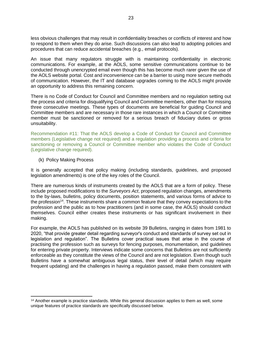less obvious challenges that may result in confidentiality breaches or conflicts of interest and how to respond to them when they do arise. Such discussions can also lead to adopting policies and procedures that can reduce accidental breaches (e.g., email protocols).

An issue that many regulators struggle with is maintaining confidentiality in electronic communications. For example, at the AOLS, some sensitive communications continue to be conducted through unencrypted email even though this has become much rarer given the use of the AOLS website portal. Cost and inconvenience can be a barrier to using more secure methods of communication. However, the IT and database upgrades coming to the AOLS might provide an opportunity to address this remaining concern.

There is no Code of Conduct for Council and Committee members and no regulation setting out the process and criteria for disqualifying Council and Committee members, other than for missing three consecutive meetings. These types of documents are beneficial for guiding Council and Committee members and are necessary in those rare instances in which a Council or Committee member must be sanctioned or removed for a serious breach of fiduciary duties or gross unsuitability.

Recommendation #11: That the AOLS develop a Code of Conduct for Council and Committee members (Legislative change not required) and a regulation providing a process and criteria for sanctioning or removing a Council or Committee member who violates the Code of Conduct (Legislative change required).

# <span id="page-23-0"></span>(k) Policy Making Process

It is generally accepted that policy making (including standards, guidelines, and proposed legislation amendments) is one of the key roles of the Council.

There are numerous kinds of instruments created by the AOLS that are a form of policy. These include proposed modifications to the *Surveyors Act*, proposed regulation changes, amendments to the by-laws, bulletins, policy documents, position statements, and various forms of advice to the profession<sup>14</sup>. These instruments share a common feature that they convey expectations to the profession and the public as to how practitioners (and in some case, the AOLS) should conduct themselves. Council either creates these instruments or has significant involvement in their making.

For example, the AOLS has published on its website 39 Bulletins, ranging in dates from 1981 to 2020, "that provide greater detail regarding surveyor's conduct and standards of survey set out in legislation and regulation". The Bulletins cover practical issues that arise in the course of practising the profession such as surveys for fencing purposes, monumentation, and guidelines for entering private property. Interviews indicate some concerns that Bulletins are not sufficiently enforceable as they constitute the views of the Council and are not legislation. Even though such Bulletins have a somewhat ambiguous legal status, their level of detail (which may require frequent updating) and the challenges in having a regulation passed, make them consistent with

<sup>&</sup>lt;sup>14</sup> Another example is practice standards. While this general discussion applies to them as well, some unique features of practice standards are specifically discussed below.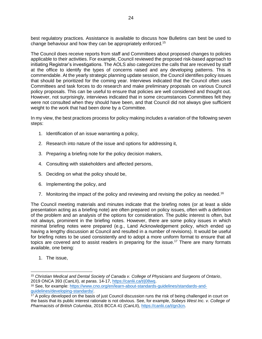best regulatory practices. Assistance is available to discuss how Bulletins can best be used to change behaviour and how they can be appropriately enforced.<sup>15</sup>

The Council does receive reports from staff and Committees about proposed changes to policies applicable to their activities. For example, Council reviewed the proposed risk-based approach to initiating Registrar's investigations. The AOLS also categorizes the calls that are received by staff at the office to identify the types of concerns raised and any developing patterns. This is commendable. At the yearly strategic planning update session, the Council identifies policy issues that should be prioritized for the coming year. Interviews indicated that the Council often uses Committees and task forces to do research and make preliminary proposals on various Council policy proposals. This can be useful to ensure that policies are well considered and thought out. However, not surprisingly, interviews indicated that in some circumstances Committees felt they were not consulted when they should have been, and that Council did not always give sufficient weight to the work that had been done by a Committee.

In my view, the best practices process for policy making includes a variation of the following seven steps:

- 1. Identification of an issue warranting a policy,
- 2. Research into nature of the issue and options for addressing it,
- 3. Preparing a briefing note for the policy decision makers,
- 4. Consulting with stakeholders and affected persons,
- 5. Deciding on what the policy should be,
- 6. Implementing the policy, and
- 7. Monitoring the impact of the policy and reviewing and revising the policy as needed.<sup>16</sup>

The Council meeting materials and minutes indicate that the briefing notes (or at least a slide presentation acting as a briefing note) are often prepared on policy issues, often with a definition of the problem and an analysis of the options for consideration. The public interest is often, but not always, prominent in the briefing notes. However, there are some policy issues in which minimal briefing notes were prepared (e.g., Land Acknowledgement policy, which ended up having a lengthy discussion at Council and resulted in a number of revisions). It would be useful for briefing notes to be used consistently and to adopt a more uniform format to ensure that all topics are covered and to assist readers in preparing for the issue.<sup>17</sup> There are many formats available, one being:

1. The issue,

<sup>15</sup> *Christian Medical and Dental Society of Canada v. College of Physicians and Surgeons of Ontario*, 2019 ONCA 393 (CanLII), at paras. 14-17, [https://canlii.ca/t/j08wq.](https://canlii.ca/t/j08wq)

<sup>16</sup> See, for example: [https://www.cno.org/en/learn-about-standards-guidelines/standards-and](https://www.cno.org/en/learn-about-standards-guidelines/standards-and-guidelines/developing-standards/)[guidelines/developing-standards/.](https://www.cno.org/en/learn-about-standards-guidelines/standards-and-guidelines/developing-standards/)

<sup>&</sup>lt;sup>17</sup> A policy developed on the basis of just Council discussion runs the risk of being challenged in court on the basis that its public interest rationale is not obvious. See, for example, *Sobeys West Inc. v. College of Pharmacists of British Columbia*, 2016 BCCA 41 (CanLII), [https://canlii.ca/t/gn3cn.](https://canlii.ca/t/gn3cn)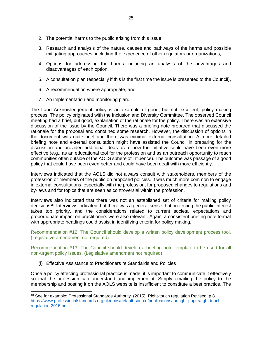- 2. The potential harms to the public arising from this issue,
- 3. Research and analysis of the nature, causes and pathways of the harms and possible mitigating approaches, including the experience of other regulators or organizations,
- 4. Options for addressing the harms including an analysis of the advantages and disadvantages of each option,
- 5. A consultation plan (especially if this is the first time the issue is presented to the Council),
- 6. A recommendation where appropriate, and
- 7. An implementation and monitoring plan.

The Land Acknowledgement policy is an example of good, but not excellent, policy making process. The policy originated with the Inclusion and Diversity Committee. The observed Council meeting had a brief, but good, explanation of the rationale for the policy. There was an extensive discussion of the issue by the Council. There was a briefing note prepared that discussed the rationale for the proposal and contained some research. However, the discussion of options in the document was quite brief and there was minimal external consultation. A more detailed briefing note and external consultation might have assisted the Council in preparing for the discussion and provided additional ideas as to how the initiative could have been even more effective (e.g., as an educational tool for the profession and as an outreach opportunity to reach communities often outside of the AOLS sphere of influence). The outcome was passage of a good policy that could have been even better and could have been dealt with more efficiently.

Interviews indicated that the AOLS did not always consult with stakeholders, members of the profession or members of the public on proposed policies. It was much more common to engage in external consultations, especially with the profession, for proposed changes to regulations and by-laws and for topics that are seen as controversial within the profession.

Interviews also indicated that there was not an established set of criteria for making policy decisions<sup>18</sup>. Interviews indicated that there was a general sense that protecting the public interest takes top priority, and the considerations related to current societal expectations and proportionate impact on practitioners were also relevant. Again, a consistent briefing note format with appropriate headings could assist in identifying criteria for policy making.

Recommendation #12: The Council should develop a written policy development process tool. (Legislative amendment not required)

Recommendation #13: The Council should develop a briefing note template to be used for all non-urgent policy issues. (Legislative amendment not required)

<span id="page-25-0"></span>(l) Effective Assistance to Practitioners re Standards and Policies

Once a policy affecting professional practice is made, it is important to communicate it effectively so that the profession can understand and implement it. Simply emailing the policy to the membership and posting it on the AOLS website is insufficient to constitute a best practice. The

<sup>18</sup> See for example: Professional Standards Authority. (2015). Right-touch regulation Revised, p.8. [https://www.professionalstandards.org.uk/docs/default-source/publications/thought-paper/right-touch](https://www.professionalstandards.org.uk/docs/default-source/publications/thought-paper/right-touch-regulation-2015.pdf)[regulation-2015.pdf.](https://www.professionalstandards.org.uk/docs/default-source/publications/thought-paper/right-touch-regulation-2015.pdf)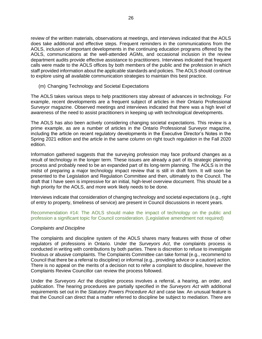review of the written materials, observations at meetings, and interviews indicated that the AOLS does take additional and effective steps. Frequent reminders in the communications from the AOLS, inclusion of important developments in the continuing education programs offered by the AOLS, communications at the well-attended AGMs, and occasional inclusion in the review department audits provide effective assistance to practitioners. Interviews indicated that frequent calls were made to the AOLS offices by both members of the public and the profession in which staff provided information about the applicable standards and policies. The AOLS should continue to explore using all available communication strategies to maintain this best practice.

# <span id="page-26-0"></span>(m) Changing Technology and Societal Expectations

The AOLS takes various steps to help practitioners stay abreast of advances in technology. For example, recent developments are a frequent subject of articles in their Ontario Professional Surveyor magazine. Observed meetings and interviews indicated that there was a high level of awareness of the need to assist practitioners in keeping up with technological developments.

The AOLS has also been actively considering changing societal expectations. This review is a prime example, as are a number of articles in the Ontario Professional Surveyor magazine, including the article on recent regulatory developments in the Executive Director's Notes in the Spring 2021 edition and the article in the same column on right touch regulation in the Fall 2020 edition.

Information gathered suggests that the surveying profession may face profound changes as a result of technology in the longer term. These issues are already a part of its strategic planning process and probably need to be an expanded part of its long-term planning. The AOLS is in the midst of preparing a major technology impact review that is still in draft form. It will soon be presented to the Legislation and Regulation Committee and then, ultimately to the Council. The draft that I have seen is impressive for an initial, high-level overview document. This should be a high priority for the AOLS, and more work likely needs to be done.

Interviews indicate that consideration of changing technology and societal expectations (e.g., right of entry to property, timeliness of service) are present in Council discussions in recent years.

Recommendation #14: The AOLS should make the impact of technology on the public and profession a significant topic for Council consideration. (Legislative amendment not required)

#### <span id="page-26-1"></span>*Complaints and Discipline*

The complaints and discipline system of the AOLS shares many features with those of other regulators of professions in Ontario. Under the *Surveyors Act*, the complaints process is conducted in writing with contributions by both parties. There is discretion to refuse to investigate frivolous or abusive complaints. The Complaints Committee can take formal (e.g., recommend to Council that there be a referral to discipline) or informal (e.g., providing advice or a caution) action. There is no appeal on the merits of a decision not to refer a complaint to discipline, however the Complaints Review Councillor can review the process followed.

Under the *Surveyors Act* the discipline process involves a referral, a hearing, an order, and publication. The hearing procedures are partially specified in the *Surveyors Act* with additional requirements set out in the *Statutory Powers Procedure Act* and case law. An unusual feature is that the Council can direct that a matter referred to discipline be subject to mediation. There are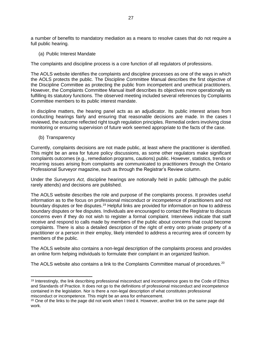a number of benefits to mandatory mediation as a means to resolve cases that do not require a full public hearing.

<span id="page-27-0"></span>(a) Public Interest Mandate

The complaints and discipline process is a core function of all regulators of professions.

The AOLS website identifies the complaints and discipline processes as one of the ways in which the AOLS protects the public. The Discipline Committee Manual describes the first objective of the Discipline Committee as protecting the public from incompetent and unethical practitioners. However, the Complaints Committee Manual itself describes its objectives more operationally as fulfilling its statutory functions. The observed meeting included several references by Complaints Committee members to its public interest mandate.

In discipline matters, the hearing panel acts as an adjudicator. Its public interest arises from conducting hearings fairly and ensuring that reasonable decisions are made. In the cases I reviewed, the outcome reflected right tough regulation principles. Remedial orders involving close monitoring or ensuring supervision of future work seemed appropriate to the facts of the case.

<span id="page-27-1"></span>(b) Transparency

Currently, complaints decisions are not made public, at least where the practitioner is identified. This might be an area for future policy discussions, as some other regulators make significant complaints outcomes (e.g., remediation programs, cautions) public. However, statistics, trends or recurring issues arising from complaints are communicated to practitioners through the Ontario Professional Surveyor magazine, such as through the Registrar's Review column.

Under the *Surveyors Act,* discipline hearings are notionally held in public (although the public rarely attends) and decisions are published.

The AOLS website describes the role and purpose of the complaints process. It provides useful information as to the focus on professional misconduct or incompetence of practitioners and not boundary disputes or fee disputes.<sup>19</sup> Helpful links are provided for information on how to address boundary disputes or fee disputes. Individuals are encouraged to contact the Registrar to discuss concerns even if they do not wish to register a formal complaint. Interviews indicate that staff receive and respond to calls made by members of the public about concerns that could become complaints. There is also a detailed description of the right of entry onto private property of a practitioner or a person in their employ, likely intended to address a recurring area of concern by members of the public.

The AOLS website also contains a non-legal description of the complaints process and provides an online form helping individuals to formulate their complaint in an organized fashion.

The AOLS website also contains a link to the Complaints Committee manual of procedures.<sup>20</sup>

<sup>19</sup> Interestingly, the link describing professional misconduct and incompetence goes to the Code of Ethics and Standards of Practice. It does not go to the definitions of professional misconduct and incompetence contained in the legislation. Nor is there a non-legal description of what constitutes professional misconduct or incompetence. This might be an area for enhancement.

<sup>&</sup>lt;sup>20</sup> One of the links to the page did not work when I tried it. However, another link on the same page did work.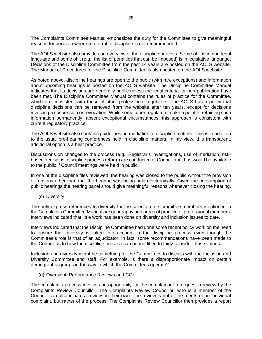The Complaints Committee Manual emphasizes the duty for the Committee to give meaningful reasons for decision where a referral to discipline is not recommended.

The AOLS website also provides an overview of the discipline process. Some of it is in non-legal language and some of it (e.g., the list of penalties that can be imposed) is in legislative language. Decisions of the Discipline Committee from the past 14 years are posted on the AOLS website. The Manual of Procedures for the Discipline Committee is also posted on the AOLS website.

As noted above, discipline hearings are open to the pubic (with rare exceptions) and information about upcoming hearings is posted on the AOLS website. The Discipline Committee Manual indicates that its decisions are generally public unless the legal criteria for non-publication have been met. The Discipline Committee Manual contains the rules of practice for the Committee, which are consistent with those of other professional regulators. The AOLS has a policy that discipline decisions can be removed from the website after ten years, except for decisions involving a suspension or revocation. While some other regulators make a point of retaining such information permanently, absent exceptional circumstances, this approach is consistent with current regulatory practice.

The AOLS website also contains guidelines on mediation of discipline matters. This is in addition to the usual pre-hearing conferences held in discipline matters. In my view, this transparent, additional option is a best practice.

Discussions on changes to the process (e.g., Registrar's investigations, use of mediation, riskbased decisions, discipline process reform) are conducted at Council and thus would be available to the public if Council meetings were held in public.

In one of the discipline files reviewed, the hearing was closed to the public without the provision of reasons other than that the hearing was being held electronically. Given the presumption of public hearings the hearing panel should give meaningful reasons whenever closing the hearing.

<span id="page-28-0"></span>(c) Diversity

The only express references to diversity for the selection of Committee members mentioned in the Complaints Committee Manual are geography and areas of practice of professional members. Interviews indicated that little work has been done on diversity and inclusion issues to date.

Interviews indicated that the Discipline Committee had done some recent policy work on the need to ensure that diversity is taken into account in the discipline process even though the Committee's role is that of an adjudicator. In fact, some recommendations have been made to the Council as to how the discipline process can be modified to fairly consider those values.

Inclusion and diversity might be something for the Committees to discuss with the Inclusion and Diversity Committee and staff. For example, is there a disproportionate impact on certain demographic groups in the way in which the Committees operate?

<span id="page-28-1"></span>(d) Oversight, Performance Reviews and CQI

The complaints process involves an opportunity for the complainant to request a review by the Complaints Review Councillor. The Complaints Review Councillor, who is a member of the Council, can also initiate a review on their own. The review is not of the merits of an individual complaint, but rather of the process. The Complaints Review Councillor then provides a report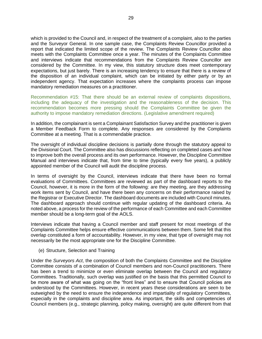which is provided to the Council and, in respect of the treatment of a complaint, also to the parties and the Surveyor General. In one sample case, the Complaints Review Councillor provided a report that indicated the limited scope of the review. The Complaints Review Councillor also meets with the Complaints Committee once a year. The minutes of the Complaints Committee and interviews indicate that recommendations from the Complaints Review Councillor are considered by the Committee. In my view, this statutory structure does meet contemporary expectations, but just barely. There is an increasing tendency to ensure that there is a review of the disposition of an individual complaint, which can be initiated by either party or by an independent agency. That expectation increases where the complaints process can impose mandatory remediation measures on a practitioner.

Recommendation #15: That there should be an external review of complaints dispositions, including the adequacy of the investigation and the reasonableness of the decision. This recommendation becomes more pressing should the Complaints Committee be given the authority to impose mandatory remediation directions. (Legislative amendment required)

In addition, the complainant is sent a Complainant Satisfaction Survey and the practitioner is given a Member Feedback Form to complete. Any responses are considered by the Complaints Committee at a meeting. That is a commendable practice.

The oversight of individual discipline decisions is partially done through the statutory appeal to the Divisional Court. The Committee also has discussions reflecting on completed cases and how to improve both the overall process and its own performance. However, the Discipline Committee Manual and interviews indicate that, from time to time (typically every five years), a publicly appointed member of the Council will audit the discipline process.

In terms of oversight by the Council, interviews indicate that there have been no formal evaluations of Committees. Committees are reviewed as part of the dashboard reports to the Council, however, it is more in the form of the following: are they meeting, are they addressing work items sent by Council, and have there been any concerns on their performance raised by the Registrar or Executive Director. The dashboard documents are included with Council minutes. The dashboard approach should continue with regular updating of the dashboard criteria. As noted above, a process for the review of the performance of each Committee and each Committee member should be a long-term goal of the AOLS.

Interviews indicate that having a Council member and staff present for most meetings of the Complaints Committee helps ensure effective communications between them. Some felt that this overlap constituted a form of accountability. However, in my view, that type of oversight may not necessarily be the most appropriate one for the Discipline Committee.

<span id="page-29-0"></span>(e) Structure, Selection and Training

Under the *Surveyors Act*, the composition of both the Complaints Committee and the Discipline Committee consists of a combination of Council members and non-Council practitioners. There has been a trend to minimize or even eliminate overlap between the Council and regulatory Committees. Traditionally, such overlap was justified on the basis that this permitted Council to be more aware of what was going on the "front lines" and to ensure that Council policies are understood by the Committees. However, in recent years these considerations are seen to be outweighed by the need to ensure the independence and impartiality of regulatory Committees, especially in the complaints and discipline area. As important, the skills and competencies of Council members (e.g., strategic planning, policy making, oversight) are quite different from that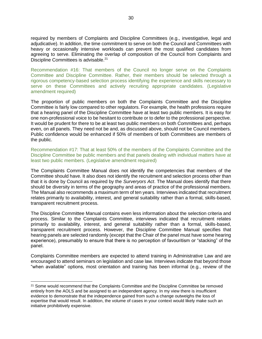required by members of Complaints and Discipline Committees (e.g., investigative, legal and adjudicative). In addition, the time commitment to serve on both the Council and Committees with heavy or occasionally intensive workloads can prevent the most qualified candidates from agreeing to serve. Eliminating the overlap of composition of the Council from Complaints and Discipline Committees is advisable.<sup>21</sup>

Recommendation #16: That members of the Council no longer serve on the Complaints Committee and Discipline Committee. Rather, their members should be selected through a rigorous competency-based selection process identifying the experience and skills necessary to serve on these Committees and actively recruiting appropriate candidates. (Legislative amendment required)

The proportion of public members on both the Complaints Committee and the Discipline Committee is fairly low compared to other regulators. For example, the health professions require that a hearing panel of the Discipline Committee have at least two public members. It is easy for one non-professional voice to be hesitant to contribute or to defer to the professional perspective. It would be prudent for there to be at least two public members on both Committees and, perhaps even, on all panels. They need not be and, as discussed above, should not be Council members. Public confidence would be enhanced if 50% of members of both Committees are members of the public.

Recommendation #17: That at least 50% of the members of the Complaints Committee and the Discipline Committee be public members and that panels dealing with individual matters have at least two public members. (Legislative amendment required)

The Complaints Committee Manual does not identify the competencies that members of the Committee should have. It also does not identify the recruitment and selection process other than that it is done by Council as required by the *Surveryors Act*. The Manual does identify that there should be diversity in terms of the geography and areas of practice of the professional members. The Manual also recommends a maximum term of ten years. Interviews indicated that recruitment relates primarily to availability, interest, and general suitability rather than a formal, skills-based, transparent recruitment process.

The Discipline Committee Manual contains even less information about the selection criteria and process. Similar to the Complaints Committee, interviews indicated that recruitment relates primarily to availability, interest, and general suitability rather than a formal, skills-based, transparent recruitment process. However, the Discipline Committee Manual specifies that hearing panels are selected randomly (except that the Chair of the panel must have some hearing experience), presumably to ensure that there is no perception of favouritism or "stacking" of the panel.

Complaints Committee members are expected to attend training in Administrative Law and are encouraged to attend seminars on legislation and case law. Interviews indicate that beyond those "when available" options, most orientation and training has been informal (e.g., review of the

<sup>&</sup>lt;sup>21</sup> Some would recommend that the Complaints Committee and the Discipline Committee be removed entirely from the AOLS and be assigned to an independent agency. In my view there is insufficient evidence to demonstrate that the independence gained from such a change outweighs the loss of expertise that would result. In addition, the volume of cases in your context would likely make such an initiative prohibitively expensive.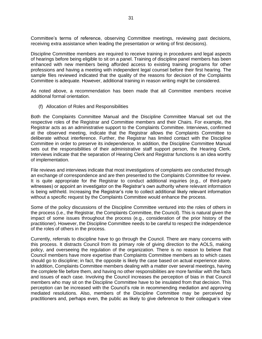Committee's terms of reference, observing Committee meetings, reviewing past decisions, receiving extra assistance when leading the presentation or writing of first decisions).

Discipline Committee members are required to receive training in procedures and legal aspects of hearings before being eligible to sit on a panel. Training of discipline panel members has been enhanced with new members being afforded access to existing training programs for other professions and having a meeting with independent legal counsel before their first hearing. The sample files reviewed indicated that the quality of the reasons for decision of the Complaints Committee is adequate. However, additional training in reason writing might be considered.

As noted above, a recommendation has been made that all Committee members receive additional formal orientation.

<span id="page-31-0"></span>(f) Allocation of Roles and Responsibilities

Both the Complaints Committee Manual and the Discipline Committee Manual set out the respective roles of the Registrar and Committee members and their Chairs. For example, the Registrar acts as an administrative support to the Complaints Committee. Interviews, confirmed at the observed meeting, indicate that the Registrar allows the Complaints Committee to deliberate without interference. Further, the Registrar has limited contact with the Discipline Committee in order to preserve its independence. In addition, the Discipline Committee Manual sets out the responsibilities of their administrative staff support person, the Hearing Clerk. Interviews indicate that the separation of Hearing Clerk and Registrar functions is an idea worthy of implementation.

File reviews and interviews indicate that most investigations of complaints are conducted through an exchange of correspondence and are then presented to the Complaints Committee for review. It is quite appropriate for the Registrar to conduct additional inquiries (e.g., of third-party witnesses) or appoint an investigator on the Registrar's own authority where relevant information is being withheld. Increasing the Registrar's role to collect additional likely relevant information without a specific request by the Complaints Committee would enhance the process.

Some of the policy discussions of the Discipline Committee ventured into the roles of others in the process (i.e., the Registrar, the Complaints Committee, the Council). This is natural given the impact of some issues throughout the process (e.g., consideration of the prior history of the practitioner). However, the Discipline Committee needs to be careful to respect the independence of the roles of others in the process.

Currently, referrals to discipline have to go through the Council. There are many concerns with this process. It distracts Council from its primary role of giving direction to the AOLS, making policy, and overseeing the regulation of the organization. There is no reason to believe that Council members have more expertise than Complaints Committee members as to which cases should go to discipline; in fact, the opposite is likely the case based on actual experience alone. In addition, Complaints Committee members dealing with a matter over several meetings, having the complete file before them, and having no other responsibilities are more familiar with the facts and issues of each case. Involving the Council increases the perception of bias in that Council members who may sit on the Discipline Committee have to be insulated from that decision. This perception can be increased with the Council's role in recommending mediation and approving mediated resolutions. Also, members of the Discipline Committee may be perceived by practitioners and, perhaps even, the public as likely to give deference to their colleague's view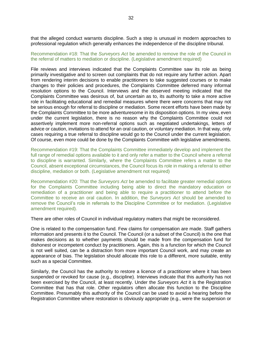that the alleged conduct warrants discipline. Such a step is unusual in modern approaches to professional regulation which generally enhances the independence of the discipline tribunal.

#### Recommendation #18: That the *Surveyors Act* be amended to remove the role of the Council in the referral of matters to mediation or discipline. (Legislative amendment required)

File reviews and interviews indicated that the Complaints Committee saw its role as being primarily investigative and to screen out complaints that do not require any further action. Apart from rendering interim decisions to enable practitioners to take suggested courses or to make changes to their policies and procedures, the Complaints Committee deferred many informal resolution options to the Council. Interviews and the observed meeting indicated that the Complaints Committee was desirous of, but uncertain as to, its authority to take a more active role in facilitating educational and remedial measures where there were concerns that may not be serious enough for referral to discipline or mediation. Some recent efforts have been made by the Complaints Committee to be more adventuresome in its disposition options. In my view, even under the current legislation, there is no reason why the Complaints Committee could not assertively implement more non-referral options such as negotiated undertakings, letters of advice or caution, invitations to attend for an oral caution, or voluntary mediation. In that way, only cases requiring a true referral to discipline would go to the Council under the current legislation. Of course, even more could be done by the Complaints Committee with legislative amendments.

Recommendation #19: That the Complaints Committee immediately develop and implement the full range of remedial options available to it and only refer a matter to the Council where a referral to discipline is warranted. Similarly, where the Complaints Committee refers a matter to the Council, absent exceptional circumstances, the Council focus its role in making a referral to either discipline, mediation or both. (Legislative amendment not required)

Recommendation #20: That the *Surveyors Act* be amended to facilitate greater remedial options for the Complaints Committee including being able to direct the mandatory education or remediation of a practitioner and being able to require a practitioner to attend before the Committee to receive an oral caution. In addition, the *Surveyors Act* should be amended to remove the Council's role in referrals to the Discipline Committee or for mediation. (Legislative amendment required).

There are other roles of Council in individual regulatory matters that might be reconsidered.

One is related to the compensation fund. Few claims for compensation are made. Staff gathers information and presents it to the Council. The Council (or a subset of the Council) is the one that makes decisions as to whether payments should be made from the compensation fund for dishonest or incompetent conduct by practitioners. Again, this is a function for which the Council is not well suited, can be a distraction from more important Council work, and may create an appearance of bias. The legislation should allocate this role to a different, more suitable, entity such as a special Committee.

Similarly, the Council has the authority to restore a licence of a practitioner where it has been suspended or revoked for cause (e.g., discipline). Interviews indicate that this authority has not been exercised by the Council, at least recently. Under the *Surveyors Act* it is the Registration Committee that has that role. Other regulators often allocate this function to the Discipline Committee. Presumably this authority of the Council can be used to avoid a hearing before the Registration Committee where restoration is obviously appropriate (e.g., were the suspension or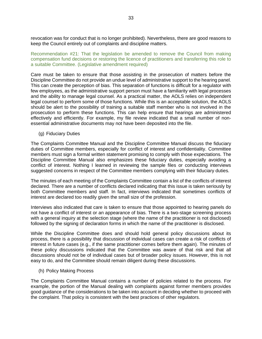revocation was for conduct that is no longer prohibited). Nevertheless, there are good reasons to keep the Council entirely out of complaints and discipline matters.

Recommendation #21: That the legislation be amended to remove the Council from making compensation fund decisions or restoring the licence of practitioners and transferring this role to a suitable Committee. (Legislative amendment required)

Care must be taken to ensure that those assisting in the prosecution of matters before the Discipline Committee do not provide an undue level of administrative support to the hearing panel. This can create the perception of bias. This separation of functions is difficult for a regulator with few employees, as the administrative support person must have a familiarity with legal processes and the ability to manage legal counsel. As a practical matter, the AOLS relies on independent legal counsel to perform some of those functions. While this is an acceptable solution, the AOLS should be alert to the possibility of training a suitable staff member who is not involved in the prosecution to perform these functions. This can help ensure that hearings are administered effectively and efficiently. For example, my file review indicated that a small number of nonessential administrative documents may not have been deposited into the file.

<span id="page-33-0"></span>(g) Fiduciary Duties

The Complaints Committee Manual and the Discipline Committee Manual discuss the fiduciary duties of Committee members, especially for conflict of interest and confidentiality. Committee members must sign a formal written statement promising to comply with those expectations. The Discipline Committee Manual also emphasizes these fiduciary duties, especially avoiding a conflict of interest. Nothing I learned in reviewing the sample files or conducting interviews suggested concerns in respect of the Committee members complying with their fiduciary duties.

The minutes of each meeting of the Complaints Committee contain a list of the conflicts of interest declared. There are a number of conflicts declared indicating that this issue is taken seriously by both Committee members and staff. In fact, interviews indicated that sometimes conflicts of interest are declared too readily given the small size of the profession.

Interviews also indicated that care is taken to ensure that those appointed to hearing panels do not have a conflict of interest or an appearance of bias. There is a two-stage screening process with a general inquiry at the selection stage (where the name of the practitioner is not disclosed) followed by the signing of declaration forms in which the name of the practitioner is disclosed.

While the Discipline Committee does and should hold general policy discussions about its process, there is a possibility that discussion of individual cases can create a risk of conflicts of interest in future cases (e.g., if the same practitioner comes before them again). The minutes of these policy discussions indicated that the Committee was aware of that risk and that all discussions should not be of individual cases but of broader policy issues. However, this is not easy to do, and the Committee should remain diligent during these discussions.

<span id="page-33-1"></span>(h) Policy Making Process

The Complaints Committee Manual contains a number of policies related to the process. For example, the portion of the Manual dealing with complaints against former members provides good guidance of the considerations to be taken into account in deciding whether to proceed with the complaint. That policy is consistent with the best practices of other regulators.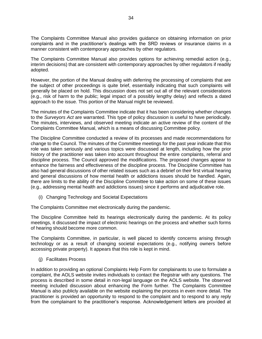The Complaints Committee Manual also provides guidance on obtaining information on prior complaints and in the practitioner's dealings with the SRD reviews or insurance claims in a manner consistent with contemporary approaches by other regulators.

The Complaints Committee Manual also provides options for achieving remedial action (e.g., interim decisions) that are consistent with contemporary approaches by other regulators if readily adopted.

However, the portion of the Manual dealing with deferring the processing of complaints that are the subject of other proceedings is quite brief, essentially indicating that such complaints will generally be placed on hold. This discussion does not set out all of the relevant considerations (e.g., risk of harm to the public; legal impact of a possibly lengthy delay) and reflects a dated approach to the issue. This portion of the Manual might be reviewed.

The minutes of the Complaints Committee indicate that it has been considering whether changes to the *Surveyors Act* are warranted. This type of policy discussion is useful to have periodically. The minutes, interviews, and observed meeting indicate an active review of the content of the Complaints Committee Manual, which is a means of discussing Committee policy.

The Discipline Committee conducted a review of its processes and made recommendations for change to the Council. The minutes of the Committee meetings for the past year indicate that this role was taken seriously and various topics were discussed at length, including how the prior history of the practitioner was taken into account throughout the entire complaints, referral and discipline process. The Council approved the modifications. The proposed changes appear to enhance the fairness and effectiveness of the discipline process. The Discipline Committee has also had general discussions of other related issues such as a debrief on their first virtual hearing and general discussions of how mental health or addictions issues should be handled. Again, there are limits to the ability of the Discipline Committee to take action on some of these issues (e.g., addressing mental health and addictions issues) since it performs and adjudicative role.

<span id="page-34-0"></span>(i) Changing Technology and Societal Expectations

The Complaints Committee met electronically during the pandemic.

The Discipline Committee held its hearings electronically during the pandemic. At its policy meetings, it discussed the impact of electronic hearings on the process and whether such forms of hearing should become more common.

The Complaints Committee, in particular, is well placed to identify concerns arising through technology or as a result of changing societal expectations (e.g., notifying owners before accessing private property). It appears that this role is kept in mind.

<span id="page-34-1"></span>(j) Facilitates Process

In addition to providing an optional Complaints Help Form for complainants to use to formulate a complaint, the AOLS website invites individuals to contact the Registrar with any questions. The process is described in some detail in non-legal language on the AOLS website. The observed meeting included discussion about enhancing the Form further. The Complaints Committee Manual is also publicly available on the website explaining the process in even more detail. The practitioner is provided an opportunity to respond to the complaint and to respond to any reply from the complainant to the practitioner's response. Acknowledgement letters are provided at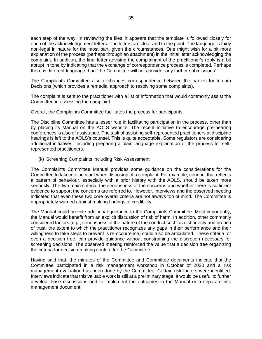each step of the way. In reviewing the files, it appears that the template is followed closely for each of the acknowledgement letters. The letters are clear and to the point. The language is fairly non-legal in nature for the most part, given the circumstances. One might wish for a bit more explanation of the process (perhaps through an attachment) in the initial letter acknowledging the complaint. In addition, the final letter advising the complainant of the practitioner's reply is a bit abrupt in tone by indicating that the exchange of correspondence process is completed. Perhaps there is different language than "the Committee will not consider any further submissions".

The Complaints Committee also exchanges correspondence between the parties for Interim Decisions (which provides a remedial approach to resolving some complaints).

The complaint is sent to the practitioner with a list of information that would commonly assist the Committee in assessing the complaint.

Overall, the Complaints Committee facilitates the process for participants.

The Discipline Committee has a lesser role in facilitating participation in the process, other than by placing its Manual on the AOLS website. The recent initiative to encourage pre-hearing conferences is also of assistance. The task of assisting self-represented practitioners at discipline hearings is left to the AOLS's counsel. This is quite acceptable. Some regulators are considering additional initiatives, including preparing a plain language explanation of the process for selfrepresented practitioners.

<span id="page-35-0"></span>(k) Screening Complaints including Risk Assessment

The Complaints Committee Manual provides some guidance on the considerations for the Committee to take into account when disposing of a complaint. For example, conduct that reflects a pattern of behaviour, especially with a prior history with the AOLS, should be taken more seriously. The two main criteria, the seriousness of the concerns and whether there is sufficient evidence to support the concerns are referred to. However, interviews and the observed meeting indicated that even these two core overall criteria are not always top of mind. The Committee is appropriately warned against making findings of credibility.

The Manual could provide additional guidance to the Complaints Committee. Most importantly, the Manual would benefit from an explicit discussion of risk of harm. In addition, other commonly considered factors (e.g., seriousness of the nature of the conduct such as dishonesty and breach of trust, the extent to which the practitioner recognizes any gaps in their performance and their willingness to take steps to prevent is re-occurrence) could also be articulated. These criteria, or even a decision tree, can provide guidance without constraining the discretion necessary for screening decisions. The observed meeting reinforced the value that a decision tree organizing the criteria for decision-making could offer the Committee.

Having said that, the minutes of the Committee and Committee documents indicate that the Committee participated in a risk management workshop in October of 2020 and a risk management evaluation has been done by the Committee. Certain risk factors were identified. Interviews indicate that this valuable work is still at a preliminary stage. It would be useful to further develop those discussions and to implement the outcomes in the Manual or a separate risk management document.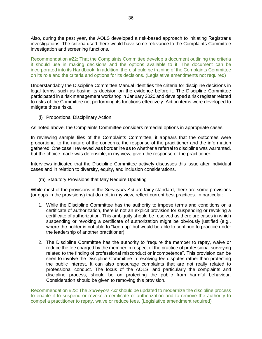Also, during the past year, the AOLS developed a risk-based approach to initiating Registrar's investigations. The criteria used there would have some relevance to the Complaints Committee investigation and screening functions.

Recommendation #22: That the Complaints Committee develop a document outlining the criteria it should use in making decisions and the options available to it. The document can be incorporated into its Handbook. In addition, there should be training of the Complaints Committee on its role and the criteria and options for its decisions. (Legislative amendments not required)

Understandably the Discipline Committee Manual identifies the criteria for discipline decisions in legal terms, such as basing its decision on the evidence before it. The Discipline Committee participated in a risk management workshop in January 2020 and developed a risk register related to risks of the Committee not performing its functions effectively. Action items were developed to mitigate those risks.

<span id="page-36-0"></span>(l) Proportional Disciplinary Action

As noted above, the Complaints Committee considers remedial options in appropriate cases.

In reviewing sample files of the Complaints Committee, it appears that the outcomes were proportional to the nature of the concerns, the response of the practitioner and the information gathered. One case I reviewed was borderline as to whether a referral to discipline was warranted, but the choice made was defensible, in my view, given the response of the practitioner.

Interviews indicated that the Discipline Committee actively discusses this issue after individual cases and in relation to diversity, equity, and inclusion considerations.

<span id="page-36-1"></span>(m) Statutory Provisions that May Require Updating

While most of the provisions in the *Surveyors Act* are fairly standard, there are some provisions (or gaps in the provisions) that do not, in my view, reflect current best practices. In particular:

- 1. While the Discipline Committee has the authority to impose terms and conditions on a certificate of authorization, there is not an explicit provision for suspending or revoking a certificate of authorization. This ambiguity should be resolved as there are cases in which suspending or revoking a certificate of authorization might be obviously justified (e.g., where the holder is not able to "keep up" but would be able to continue to practice under the leadership of another practitioner).
- 2. The Discipline Committee has the authority to "require the member to repay, waive or reduce the fee charged by the member in respect of the practice of professional surveying related to the finding of professional misconduct or incompetence". This provision can be seen to involve the Discipline Committee in resolving fee disputes rather than protecting the public interest. It can also encourage complaints that are not really related to professional conduct. The focus of the AOLS, and particularly the complaints and discipline process, should be on protecting the public from harmful behaviour. Consideration should be given to removing this provision.

Recommendation #23: The *Surveyors Act* should be updated to modernize the discipline process to enable it to suspend or revoke a certificate of authorization and to remove the authority to compel a practitioner to repay, waive or reduce fees. (Legislative amendment required)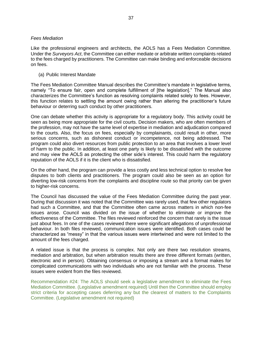#### <span id="page-37-0"></span>*Fees Mediation*

Like the professional engineers and architects, the AOLS has a Fees Mediation Committee. Under the *Surveyors Act*, the Committee can either mediate or arbitrate written complaints related to the fees charged by practitioners. The Committee can make binding and enforceable decisions on fees.

<span id="page-37-1"></span>(a) Public Interest Mandate

The Fees Mediation Committee Manual describes the Committee's mandate in legislative terms, namely "To ensure fair, open and complete fulfillment of [the legislation]." The Manual also characterizes the Committee's function as resolving complaints related solely to fees. However, this function relates to settling the amount owing rather than altering the practitioner's future behaviour or deterring such conduct by other practitioners.

One can debate whether this activity is appropriate for a regulatory body. This activity could be seen as being more appropriate for the civil courts. Decision makers, who are often members of the profession, may not have the same level of expertise in mediation and adjudication compared to the courts. Also, the focus on fees, especially by complainants, could result in other, more serious concerns, such as dishonest conduct or incompetence, not being addressed. The program could also divert resources from public protection to an area that involves a lower level of harm to the public. In addition, at least one party is likely to be dissatisfied with the outcome and may view the AOLS as protecting the other side's interest. This could harm the regulatory reputation of the AOLS if it is the client who is dissatisfied.

On the other hand, the program can provide a less costly and less technical option to resolve fee disputes to both clients and practitioners. The program could also be seen as an option for diverting low-risk concerns from the complaints and discipline route so that priority can be given to higher-risk concerns.

The Council has discussed the value of the Fees Mediation Committee during the past year. During that discussion it was noted that the Committee was rarely used, that few other regulators had such a Committee, and that the Committee often came across matters in which non-fee issues arose. Council was divided on the issue of whether to eliminate or improve the effectiveness of the Committee. The files reviewed reinforced the concern that rarely is the issue just about fees. In one of the cases reviewed there were significant allegations of unprofessional behaviour. In both files reviewed, communication issues were identified. Both cases could be characterized as "messy" in that the various issues were intertwined and were not limited to the amount of the fees charged.

A related issue is that the process is complex. Not only are there two resolution streams, mediation and arbitration, but when arbitration results there are three different formats (written, electronic and in person). Obtaining consensus or imposing a stream and a format makes for complicated communications with two individuals who are not familiar with the process. These issues were evident from the files reviewed.

Recommendation #24: The AOLS should seek a legislative amendment to eliminate the Fees Mediation Committee. (Legislative amendment required) Until then the Committee should employ strict criteria for accepting cases deferring any but the clearest of matters to the Complaints Committee. (Legislative amendment not required)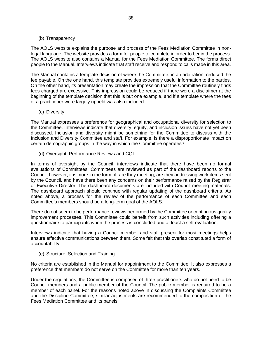# <span id="page-38-0"></span>(b) Transparency

The AOLS website explains the purpose and process of the Fees Mediation Committee in nonlegal language. The website provides a form for people to complete in order to begin the process. The AOLS website also contains a Manual for the Fees Mediation Committee. The forms direct people to the Manual. Interviews indicate that staff receive and respond to calls made in this area.

The Manual contains a template decision of where the Committee, in an arbitration, reduced the fee payable. On the one hand, this template provides extremely useful information to the parties. On the other hand, its presentation may create the impression that the Committee routinely finds fees charged are excessive. This impression could be reduced if there were a disclaimer at the beginning of the template decision that this is but one example, and if a template where the fees of a practitioner were largely upheld was also included.

<span id="page-38-1"></span>(c) Diversity

The Manual expresses a preference for geographical and occupational diversity for selection to the Committee. Interviews indicate that diversity, equity, and inclusion issues have not yet been discussed. Inclusion and diversity might be something for the Committee to discuss with the Inclusion and Diversity Committee and staff. For example, is there a disproportionate impact on certain demographic groups in the way in which the Committee operates?

<span id="page-38-2"></span>(d) Oversight, Performance Reviews and CQI

In terms of oversight by the Council, interviews indicate that there have been no formal evaluations of Committees. Committees are reviewed as part of the dashboard reports to the Council, however, it is more in the form of: are they meeting, are they addressing work items sent by the Council, and have there been any concerns on their performance raised by the Registrar or Executive Director. The dashboard documents are included with Council meeting materials. The dashboard approach should continue with regular updating of the dashboard criteria. As noted above, a process for the review of the performance of each Committee and each Committee's members should be a long-term goal of the AOLS.

There do not seem to be performance reviews performed by the Committee or continuous quality improvement processes. This Committee could benefit from such activities including offering a questionnaire to participants when the process is concluded and at least a self-evaluation.

Interviews indicate that having a Council member and staff present for most meetings helps ensure effective communications between them. Some felt that this overlap constituted a form of accountability.

<span id="page-38-3"></span>(e) Structure, Selection and Training

No criteria are established in the Manual for appointment to the Committee. It also expresses a preference that members do not serve on the Committee for more than ten years.

Under the regulations, the Committee is composed of three practitioners who do not need to be Council members and a public member of the Council. The public member is required to be a member of each panel. For the reasons noted above in discussing the Complaints Committee and the Discipline Committee, similar adjustments are recommended to the composition of the Fees Mediation Committee and its panels.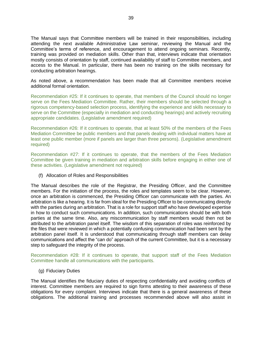The Manual says that Committee members will be trained in their responsibilities, including attending the next available Administrative Law seminar, reviewing the Manual and the Committee's terms of reference, and encouragement to attend ongoing seminars. Recently, training was provided on mediation skills. Other than that, interviews indicate that orientation mostly consists of orientation by staff, continued availability of staff to Committee members, and access to the Manual. In particular, there has been no training on the skills necessary for conducting arbitration hearings.

As noted above, a recommendation has been made that all Committee members receive additional formal orientation.

Recommendation #25: If it continues to operate, that members of the Council should no longer serve on the Fees Mediation Committee. Rather, their members should be selected through a rigorous competency-based selection process, identifying the experience and skills necessary to serve on the Committee (especially in mediation and conducting hearings) and actively recruiting appropriate candidates. (Legislative amendment required)

Recommendation #26: If it continues to operate, that at least 50% of the members of the Fees Mediation Committee be public members and that panels dealing with individual matters have at least one public member (more if panels are larger than three persons). (Legislative amendment required)

Recommendation #27: If it continues to operate, that the members of the Fees Mediation Committee be given training in mediation and arbitration skills before engaging in either one of these activities. (Legislative amendment not required)

<span id="page-39-0"></span>(f) Allocation of Roles and Responsibilities

The Manual describes the role of the Registrar, the Presiding Officer, and the Committee members. For the initiation of the process, the roles and templates seem to be clear. However, once an arbitration is commenced, the Presiding Officer can communicate with the parties. An arbitration is like a hearing. It is far from ideal for the Presiding Officer to be communicating directly with the parties during an arbitration. That is a role for support staff who have developed expertise in how to conduct such communications. In addition, such communications should be with both parties at the same time. Also, any miscommunication by staff members would then not be attributed to the arbitration panel itself. The wisdom of this separation of roles was reinforced by the files that were reviewed in which a potentially confusing communication had been sent by the arbitration panel itself. It is understood that communicating through staff members can delay communications and affect the "can do" approach of the current Committee, but it is a necessary step to safeguard the integrity of the process.

Recommendation #28: If it continues to operate, that support staff of the Fees Mediation Committee handle all communications with the participants.

<span id="page-39-1"></span>(g) Fiduciary Duties

The Manual identifies the fiduciary duties of respecting confidentiality and avoiding conflicts of interest. Committee members are required to sign forms attesting to their awareness of these obligations for every complaint. Interviews indicate that there is a general awareness of these obligations. The additional training and processes recommended above will also assist in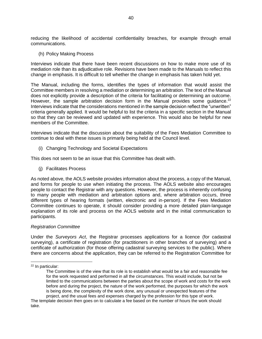reducing the likelihood of accidental confidentiality breaches, for example through email communications.

<span id="page-40-0"></span>(h) Policy Making Process

Interviews indicate that there have been recent discussions on how to make more use of its mediation role than its adjudicative role. Revisions have been made to the Manuals to reflect this change in emphasis. It is difficult to tell whether the change in emphasis has taken hold yet.

The Manual, including the forms, identifies the types of information that would assist the Committee members in resolving a mediation or determining an arbitration. The text of the Manual does not explicitly provide a description of the criteria for facilitating or determining an outcome. However, the sample arbitration decision form in the Manual provides some quidance. $22$ Interviews indicate that the considerations mentioned in the sample decision reflect the "unwritten" criteria generally applied. It would be helpful to list the criteria in a specific section in the Manual so that they can be reviewed and updated with experience. This would also be helpful for new members of the Committee.

Interviews indicate that the discussion about the suitability of the Fees Mediation Committee to continue to deal with these issues is primarily being held at the Council level.

<span id="page-40-1"></span>(i) Changing Technology and Societal Expectations

This does not seem to be an issue that this Committee has dealt with.

<span id="page-40-2"></span>(j) Facilitates Process

As noted above, the AOLS website provides information about the process, a copy of the Manual, and forms for people to use when initiating the process. The AOLS website also encourages people to contact the Registrar with any questions. However, the process is inherently confusing to many people with mediation and arbitration options and, where arbitration occurs, three different types of hearing formats (written, electronic and in-person). If the Fees Mediation Committee continues to operate, it should consider providing a more detailed plain-language explanation of its role and process on the AOLS website and in the initial communication to participants.

#### <span id="page-40-3"></span>*Registration Committee*

Under the *Surveyors Act*, the Registrar processes applications for a licence (for cadastral surveying), a certificate of registration (for practitioners in other branches of surveying) and a certificate of authorization (for those offering cadastral surveying services to the public). Where there are concerns about the application, they can be referred to the Registration Committee for

<sup>22</sup> In particular:

The Committee is of the view that its role is to establish what would be a fair and reasonable fee for the work requested and performed in all the circumstances. This would include, but not be limited to the communications between the parties about the scope of work and costs for the work before and during the project, the nature of the work performed, the purposes for which the work is being done, the complexity of the work done, any unusual or unexpected features of the project, and the usual fees and expenses charged by the profession for this type of work.

The template decision then goes on to calculate a fee based on the number of hours the work should take.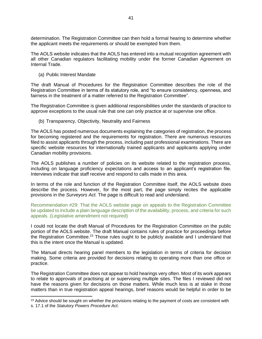determination. The Registration Committee can then hold a formal hearing to determine whether the applicant meets the requirements or should be exempted from them.

The AOLS website indicates that the AOLS has entered into a mutual recognition agreement with all other Canadian regulators facilitating mobility under the former Canadian Agreement on Internal Trade.

<span id="page-41-0"></span>(a) Public Interest Mandate

The draft Manual of Procedures for the Registration Committee describes the role of the Registration Committee in terms of its statutory role, and "to ensure consistency, openness, and fairness in the treatment of a matter referred to the Registration Committee".

The Registration Committee is given additional responsibilities under the standards of practice to approve exceptions to the usual rule that one can only practice at or supervise one office.

<span id="page-41-1"></span>(b) Transparency, Objectivity, Neutrality and Fairness

The AOLS has posted numerous documents explaining the categories of registration, the process for becoming registered and the requirements for registration. There are numerous resources filed to assist applicants through the process, including past professional examinations. There are specific website resources for internationally trained applicants and applicants applying under Canadian mobility provisions.

The AOLS publishes a number of policies on its website related to the registration process, including on language proficiency expectations and access to an applicant's registration file. Interviews indicate that staff receive and respond to calls made in this area.

In terms of the role and function of the Registration Committee itself, the AOLS website does describe the process. However, for the most part, the page simply recites the applicable provisions in the *Surveyors Act.* The page is difficult to read and understand.

Recommendation #29: That the AOLS website page on appeals to the Registration Committee be updated to include a plain language description of the availability, process, and criteria for such appeals. (Legislative amendment not required)

I could not locate the draft Manual of Procedures for the Registration Committee on the public portion of the AOLS website. The draft Manual contains rules of practice for proceedings before the Registration Committee.<sup>23</sup> Those rules ought to be publicly available and I understand that this is the intent once the Manual is updated.

The Manual directs hearing panel members to the legislation in terms of criteria for decision making. Some criteria are provided for decisions relating to operating more than one office or practice.

The Registration Committee does not appear to hold hearings very often. Most of its work appears to relate to approvals of practising at or supervising multiple sites. The files I reviewed did not have the reasons given for decisions on those matters. While much less is at stake in those matters than in true registration appeal hearings, brief reasons would be helpful in order to be

<sup>&</sup>lt;sup>23</sup> Advice should be sought on whether the provisions relating to the payment of costs are consistent with

s. 17.1 of the *Statutory Powers Procedure Act.*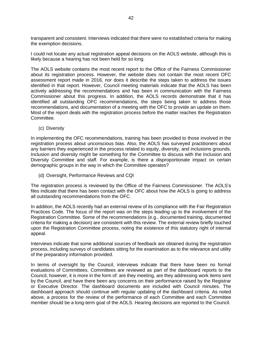transparent and consistent. Interviews indicated that there were no established criteria for making the exemption decisions.

I could not locate any actual registration appeal decisions on the AOLS website, although this is likely because a hearing has not been held for so long.

The AOLS website contains the most recent report to the Office of the Fairness Commissioner about its registration process. However, the website does not contain the most recent OFC assessment report made in 2016, nor does it describe the steps taken to address the issues identified in that report. However, Council meeting materials indicate that the AOLS has been actively addressing the recommendations and has been in communication with the Fairness Commissioner about this progress. In addition, the AOLS records demonstrate that it has identified all outstanding OFC recommendations, the steps being taken to address those recommendations, and documentation of a meeting with the OFC to provide an update on them. Most of the report deals with the registration process before the matter reaches the Registration Committee.

<span id="page-42-0"></span>(c) Diversity

In implementing the OFC recommendations, training has been provided to those involved in the registration process about unconscious bias. Also, the AOLS has surveyed practitioners about any barriers they experienced in the process related to equity, diversity, and inclusions grounds. Inclusion and diversity might be something for the Committee to discuss with the Inclusion and Diversity Committee and staff. For example, is there a disproportionate impact on certain demographic groups in the way in which the Committee operates?

<span id="page-42-1"></span>(d) Oversight, Performance Reviews and CQI

The registration process is reviewed by the Office of the Fairness Commissioner. The AOLS's files indicate that there has been contact with the OFC about how the AOLS is going to address all outstanding recommendations from the OFC.

In addition, the AOLS recently had an external review of its compliance with the Fair Registration Practices Code. The focus of the report was on the steps leading up to the involvement of the Registration Committee. Some of the recommendations (e.g., documented training, documented criteria for making a decision) are consistent with this review. The external review briefly touched upon the Registration Committee process, noting the existence of this statutory right of internal appeal.

Interviews indicate that some additional sources of feedback are obtained during the registration process, including surveys of candidates sitting for the examination as to the relevance and utility of the preparatory information provided.

In terms of oversight by the Council, interviews indicate that there have been no formal evaluations of Committees. Committees are reviewed as part of the dashboard reports to the Council, however, it is more in the form of: are they meeting, are they addressing work items sent by the Council, and have there been any concerns on their performance raised by the Registrar or Executive Director. The dashboard documents are included with Council minutes. The dashboard approach should continue with regular updating of the dashboard criteria. As noted above, a process for the review of the performance of each Committee and each Committee member should be a long-term goal of the AOLS. Hearing decisions are reported to the Council.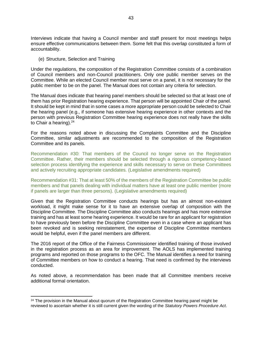Interviews indicate that having a Council member and staff present for most meetings helps ensure effective communications between them. Some felt that this overlap constituted a form of accountability.

<span id="page-43-0"></span>(e) Structure, Selection and Training

Under the regulations, the composition of the Registration Committee consists of a combination of Council members and non-Council practitioners. Only one public member serves on the Committee. While an elected Council member must serve on a panel, it is not necessary for the public member to be on the panel. The Manual does not contain any criteria for selection.

The Manual does indicate that hearing panel members should be selected so that at least one of them has prior Registration hearing experience. That person will be appointed Chair of the panel. It should be kept in mind that in some cases a more appropriate person could be selected to Chair the hearing panel (e.g., if someone has extensive hearing experience in other contexts and the person with previous Registration Committee hearing experience does not really have the skills to Chair a hearing).<sup>24</sup>

For the reasons noted above in discussing the Complaints Committee and the Discipline Committee, similar adjustments are recommended to the composition of the Registration Committee and its panels.

Recommendation #30: That members of the Council no longer serve on the Registration Committee. Rather, their members should be selected through a rigorous competency-based selection process identifying the experience and skills necessary to serve on these Committees and actively recruiting appropriate candidates. (Legislative amendments required)

Recommendation #31: That at least 50% of the members of the Registration Committee be public members and that panels dealing with individual matters have at least one public member (more if panels are larger than three persons). (Legislative amendments required)

Given that the Registration Committee conducts hearings but has an almost non-existent workload, it might make sense for it to have an extensive overlap of composition with the Discipline Committee. The Discipline Committee also conducts hearings and has more extensive training and has at least some hearing experience. It would be rare for an applicant for registration to have previously been before the Discipline Committee even in a case where an applicant has been revoked and is seeking reinstatement, the expertise of Discipline Committee members would be helpful, even if the panel members are different.

The 2016 report of the Office of the Fairness Commissioner identified training of those involved in the registration process as an area for improvement. The AOLS has implemented training programs and reported on those programs to the OFC. The Manual identifies a need for training of Committee members on how to conduct a hearing. That need is confirmed by the interviews conducted.

As noted above, a recommendation has been made that all Committee members receive additional formal orientation.

 $24$  The provision in the Manual about quorum of the Registration Committee hearing panel might be reviewed to ascertain whether it is still current given the wording of the *Statutory Powers Procedure Act*.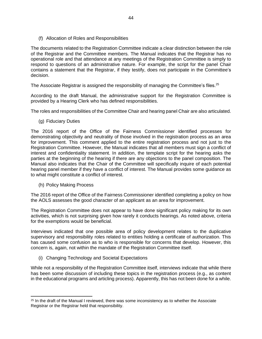<span id="page-44-0"></span>(f) Allocation of Roles and Responsibilities

The documents related to the Registration Committee indicate a clear distinction between the role of the Registrar and the Committee members. The Manual indicates that the Registrar has no operational role and that attendance at any meetings of the Registration Committee is simply to respond to questions of an administrative nature. For example, the script for the panel Chair contains a statement that the Registrar, if they testify, does not participate in the Committee's decision.

The Associate Registrar is assigned the responsibility of managing the Committee's files.<sup>25</sup>

According to the draft Manual, the administrative support for the Registration Committee is provided by a Hearing Clerk who has defined responsibilities.

The roles and responsibilities of the Committee Chair and hearing panel Chair are also articulated.

<span id="page-44-1"></span>(g) Fiduciary Duties

The 2016 report of the Office of the Fairness Commissioner identified processes for demonstrating objectivity and neutrality of those involved in the registration process as an area for improvement. This comment applied to the entire registration process and not just to the Registration Committee. However, the Manual indicates that all members must sign a conflict of interest and confidentiality statement. In addition, the template script for the hearing asks the parties at the beginning of the hearing if there are any objections to the panel composition. The Manual also indicates that the Chair of the Committee will specifically inquire of each potential hearing panel member if they have a conflict of interest. The Manual provides some guidance as to what might constitute a conflict of interest.

<span id="page-44-2"></span>(h) Policy Making Process

The 2016 report of the Office of the Fairness Commissioner identified completing a policy on how the AOLS assesses the good character of an applicant as an area for improvement.

The Registration Committee does not appear to have done significant policy making for its own activities, which is not surprising given how rarely it conducts hearings. As noted above, criteria for the exemptions would be beneficial.

Interviews indicated that one possible area of policy development relates to the duplicative supervisory and responsibility roles related to entities holding a certificate of authorization. This has caused some confusion as to who is responsible for concerns that develop. However, this concern is, again, not within the mandate of the Registration Committee itself.

<span id="page-44-3"></span>(i) Changing Technology and Societal Expectations

While not a responsibility of the Registration Committee itself, interviews indicate that while there has been some discussion of including these topics in the registration process (e.g., as content in the educational programs and articling process). Apparently, this has not been done for a while.

<sup>&</sup>lt;sup>25</sup> In the draft of the Manual I reviewed, there was some inconsistency as to whether the Associate Registrar or the Registrar held that responsibility.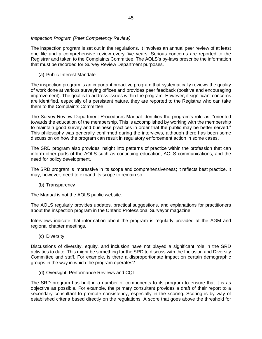#### <span id="page-45-0"></span>*Inspection Program (Peer Competency Review)*

The inspection program is set out in the regulations. It involves an annual peer review of at least one file and a comprehensive review every five years. Serious concerns are reported to the Registrar and taken to the Complaints Committee. The AOLS's by-laws prescribe the information that must be recorded for Survey Review Department purposes.

<span id="page-45-1"></span>(a) Public Interest Mandate

The inspection program is an important proactive program that systematically reviews the quality of work done at various surveying offices and provides peer feedback (positive and encouraging improvement). The goal is to address issues within the program. However, if significant concerns are identified, especially of a persistent nature, they are reported to the Registrar who can take them to the Complaints Committee.

The Survey Review Department Procedures Manual identifies the program's role as: "oriented towards the education of the membership. This is accomplished by working with the membership to maintain good survey and business practices in order that the public may be better served." This philosophy was generally confirmed during the interviews, although there has been some discussion on how the program can result in regulatory enforcement action in some cases.

The SRD program also provides insight into patterns of practice within the profession that can inform other parts of the AOLS such as continuing education, AOLS communications, and the need for policy development.

The SRD program is impressive in its scope and comprehensiveness; it reflects best practice. It may, however, need to expand its scope to remain so.

<span id="page-45-2"></span>(b) Transparency

The Manual is not the AOLS public website.

The AOLS regularly provides updates, practical suggestions, and explanations for practitioners about the inspection program in the Ontario Professional Surveyor magazine.

Interviews indicate that information about the program is regularly provided at the AGM and regional chapter meetings.

<span id="page-45-3"></span>(c) Diversity

Discussions of diversity, equity, and inclusion have not played a significant role in the SRD activities to date. This might be something for the SRD to discuss with the Inclusion and Diversity Committee and staff. For example, is there a disproportionate impact on certain demographic groups in the way in which the program operates?

<span id="page-45-4"></span>(d) Oversight, Performance Reviews and CQI

The SRD program has built in a number of components to its program to ensure that it is as objective as possible. For example, the primary consultant provides a draft of their report to a secondary consultant to promote consistency, especially in the scoring. Scoring is by way of established criteria based directly on the regulations. A score that goes above the threshold for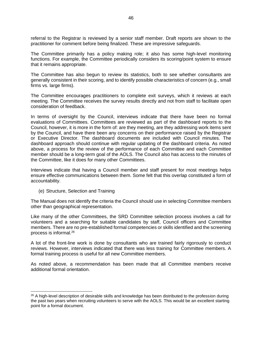referral to the Registrar is reviewed by a senior staff member. Draft reports are shown to the practitioner for comment before being finalized. These are impressive safeguards.

The Committee primarily has a policy making role; it also has some high-level monitoring functions. For example, the Committee periodically considers its scoring/point system to ensure that it remains appropriate.

The Committee has also begun to review its statistics, both to see whether consultants are generally consistent in their scoring, and to identify possible characteristics of concern (e.g., small firms vs. large firms).

The Committee encourages practitioners to complete exit surveys, which it reviews at each meeting. The Committee receives the survey results directly and not from staff to facilitate open consideration of feedback.

In terms of oversight by the Council, interviews indicate that there have been no formal evaluations of Committees. Committees are reviewed as part of the dashboard reports to the Council, however, it is more in the form of: are they meeting, are they addressing work items sent by the Council, and have there been any concerns on their performance raised by the Registrar or Executive Director. The dashboard documents are included with Council minutes. The dashboard approach should continue with regular updating of the dashboard criteria. As noted above, a process for the review of the performance of each Committee and each Committee member should be a long-term goal of the AOLS. The Council also has access to the minutes of the Committee, like it does for many other Committees.

Interviews indicate that having a Council member and staff present for most meetings helps ensure effective communications between them. Some felt that this overlap constituted a form of accountability.

<span id="page-46-0"></span>(e) Structure, Selection and Training

The Manual does not identify the criteria the Council should use in selecting Committee members other than geographical representation.

Like many of the other Committees, the SRD Committee selection process involves a call for volunteers and a searching for suitable candidates by staff, Council officers and Committee members. There are no pre-established formal competencies or skills identified and the screening process is informal.<sup>26</sup>

A lot of the front-line work is done by consultants who are trained fairly rigorously to conduct reviews. However, interviews indicated that there was less training for Committee members. A formal training process is useful for all new Committee members.

As noted above, a recommendation has been made that all Committee members receive additional formal orientation.

<sup>&</sup>lt;sup>26</sup> A high-level description of desirable skills and knowledge has been distributed to the profession during the past two years when recruiting volunteers to serve with the AOLS. This would be an excellent starting point for a formal document.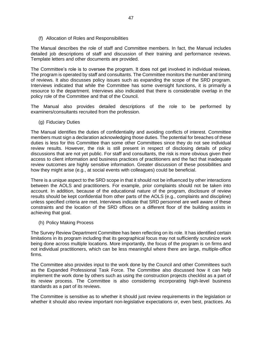<span id="page-47-0"></span>(f) Allocation of Roles and Responsibilities

The Manual describes the role of staff and Committee members. In fact, the Manual includes detailed job descriptions of staff and discussion of their training and performance reviews. Template letters and other documents are provided.

The Committee's role is to oversee the program. It does not get involved in individual reviews. The program is operated by staff and consultants. The Committee monitors the number and timing of reviews. It also discusses policy issues such as expanding the scope of the SRD program. Interviews indicated that while the Committee has some oversight functions, it is primarily a resource to the department. Interviews also indicated that there is considerable overlap in the policy role of the Committee and that of the Council.

The Manual also provides detailed descriptions of the role to be performed by examiners/consultants recruited from the profession.

<span id="page-47-1"></span>(g) Fiduciary Duties

The Manual identifies the duties of confidentiality and avoiding conflicts of interest. Committee members must sign a declaration acknowledging those duties. The potential for breaches of these duties is less for this Committee than some other Committees since they do not see individual review results. However, the risk is still present in respect of disclosing details of policy discussions that are not yet public. For staff and consultants, the risk is more obvious given their access to client information and business practices of practitioners and the fact that inadequate review outcomes are highly sensitive information. Greater discussion of these possibilities and how they might arise (e.g., at social events with colleagues) could be beneficial.

There is a unique aspect to the SRD scope in that it should not be influenced by other interactions between the AOLS and practitioners. For example, prior complaints should not be taken into account. In addition, because of the educational nature of the program, disclosure of review results should be kept confidential from other parts of the AOLS (e.g., complaints and discipline) unless specified criteria are met. Interviews indicate that SRD personnel are well aware of these constraints and the location of the SRD offices on a different floor of the building assists in achieving that goal.

<span id="page-47-2"></span>(h) Policy Making Process

The Survey Review Department Committee has been reflecting on its role. It has identified certain limitations in its program including that its geographical focus may not sufficiently scrutinize work being done across multiple locations. More importantly, the focus of the program is on firms and not individual practitioners, which can be less meaningful where there are large, multiple-office firms.

The Committee also provides input to the work done by the Council and other Committees such as the Expanded Professional Task Force. The Committee also discussed how it can help implement the work done by others such as using the construction projects checklist as a part of its review process. The Committee is also considering incorporating high-level business standards as a part of its reviews.

The Committee is sensitive as to whether it should just review requirements in the legislation or whether it should also review important non-legislative expectations or, even best, practices. As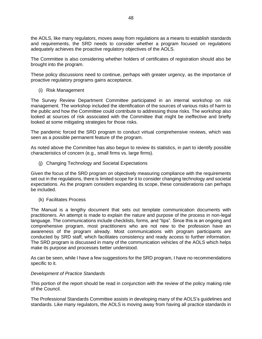the AOLS, like many regulators, moves away from regulations as a means to establish standards and requirements, the SRD needs to consider whether a program focused on regulations adequately achieves the proactive regulatory objectives of the AOLS.

The Committee is also considering whether holders of certificates of registration should also be brought into the program.

These policy discussions need to continue, perhaps with greater urgency, as the importance of proactive regulatory programs gains acceptance.

<span id="page-48-0"></span>(i) Risk Management

The Survey Review Department Committee participated in an internal workshop on risk management. The workshop included the identification of the sources of various risks of harm to the public and how the Committee could contribute to addressing those risks. The workshop also looked at sources of risk associated with the Committee that might be ineffective and briefly looked at some mitigating strategies for those risks.

The pandemic forced the SRD program to conduct virtual comprehensive reviews, which was seen as a possible permanent feature of the program.

As noted above the Committee has also begun to review its statistics, in part to identify possible characteristics of concern (e.g., small firms vs. large firms).

<span id="page-48-1"></span>(j) Changing Technology and Societal Expectations

Given the focus of the SRD program on objectively measuring compliance with the requirements set out in the regulations, there is limited scope for it to consider changing technology and societal expectations. As the program considers expanding its scope, these considerations can perhaps be included.

<span id="page-48-2"></span>(k) Facilitates Process

The Manual is a lengthy document that sets out template communication documents with practitioners. An attempt is made to explain the nature and purpose of the process in non-legal language. The communications include checklists, forms, and "tips". Since this is an ongoing and comprehensive program, most practitioners who are not new to the profession have an awareness of the program already. Most communications with program participants are conducted by SRD staff, which facilitates consistency and ready access to further information. The SRD program is discussed in many of the communication vehicles of the AOLS which helps make its purpose and processes better understood.

As can be seen, while I have a few suggestions for the SRD program, I have no recommendations specific to it.

#### <span id="page-48-3"></span>*Development of Practice Standards*

This portion of the report should be read in conjunction with the review of the policy making role of the Council.

The Professional Standards Committee assists in developing many of the AOLS's guidelines and standards. Like many regulators, the AOLS is moving away from having all practice standards in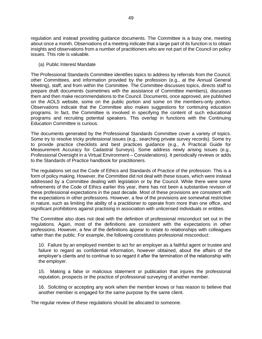regulation and instead providing guidance documents. The Committee is a busy one, meeting about once a month. Observations of a meeting indicate that a large part of its function is to obtain insights and observations from a number of practitioners who are not part of the Council on policy issues. This role is valuable.

<span id="page-49-0"></span>(a) Public Interest Mandate

The Professional Standards Committee identifies topics to address by referrals from the Council, other Committees, and information provided by the profession (e.g., at the Annual General Meeting), staff, and from within the Committee. The Committee discusses topics, directs staff to prepare draft documents (sometimes with the assistance of Committee members), discusses them and then make recommendations to the Council. Documents, once approved, are published on the AOLS website, some on the public portion and some on the members-only portion. Observations indicate that the Committee also makes suggestions for continuing education programs. In fact, the Committee is involved in specifying the content of such educational programs and recruiting potential speakers. This overlap in functions with the Continuing Education Committee is curious.

The documents generated by the Professional Standards Committee cover a variety of topics. Some try to resolve tricky professional issues (e.g., searching private survey records). Some try to provide practice checklists and best practices guidance (e.g., A Practical Guide for Measurement Accuracy for Cadastral Surveys). Some address newly arising issues (e.g., Professional Oversight in a Virtual Environment – Considerations). It periodically reviews or adds to the Standards of Practice handbook for practitioners.

The regulations set out the Code of Ethics and Standards of Practice of the profession. This is a form of policy making. However, the Committee did not deal with these issues, which were instead addressed by a Committee dealing with legislation or by the Council. While there were some refinements of the Code of Ethics earlier this year, there has not been a substantive revision of these professional expectations in the past decade. Most of these provisions are consistent with the expectations in other professions. However, a few of the provisions are somewhat restrictive in nature, such as limiting the ability of a practitioner to operate from more than one office, and significant prohibitions against practising in association with unlicensed individuals or entities.

The Committee also does not deal with the definition of professional misconduct set out in the regulations. Again, most of the definitions are consistent with the expectations in other professions. However, a few of the definitions appear to relate to relationships with colleagues rather than the public. For example, the following constitutes professional misconduct:

10. Failure by an employed member to act for an employer as a faithful agent or trustee and failure to regard as confidential information, however obtained, about the affairs of the employer's clients and to continue to so regard it after the termination of the relationship with the employer.

15. Making a false or malicious statement or publication that injures the professional reputation, prospects or the practice of professional surveying of another member.

16. Soliciting or accepting any work when the member knows or has reason to believe that another member is engaged for the same purpose by the same client.

The regular review of these regulations should be allocated to someone.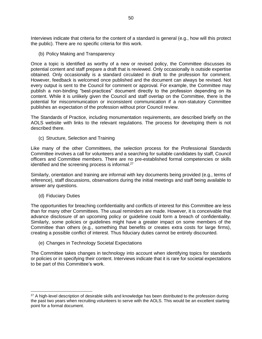Interviews indicate that criteria for the content of a standard is general (e.g., how will this protect the public). There are no specific criteria for this work.

<span id="page-50-0"></span>(b) Policy Making and Transparency

Once a topic is identified as worthy of a new or revised policy, the Committee discusses its potential content and staff prepare a draft that is reviewed. Only occasionally is outside expertise obtained. Only occasionally is a standard circulated in draft to the profession for comment. However, feedback is welcomed once published and the document can always be revised. Not every output is sent to the Council for comment or approval. For example, the Committee may publish a non-binding "best-practices" document directly to the profession depending on its content. While it is unlikely given the Council and staff overlap on the Committee, there is the potential for miscommunication or inconsistent communication if a non-statutory Committee publishes an expectation of the profession without prior Council review.

The Standards of Practice, including monumentation requirements, are described briefly on the AOLS website with links to the relevant regulations. The process for developing them is not described there.

<span id="page-50-1"></span>(c) Structure, Selection and Training

Like many of the other Committees, the selection process for the Professional Standards Committee involves a call for volunteers and a searching for suitable candidates by staff, Council officers and Committee members. There are no pre-established formal competencies or skills identified and the screening process is informal.<sup>27</sup>

Similarly, orientation and training are informal with key documents being provided (e.g., terms of reference), staff discussions, observations during the initial meetings and staff being available to answer any questions.

<span id="page-50-2"></span>(d) Fiduciary Duties

The opportunities for breaching confidentiality and conflicts of interest for this Committee are less than for many other Committees. The usual reminders are made. However, it is conceivable that advance disclosure of an upcoming policy or guideline could form a breach of confidentiality. Similarly, some policies or guidelines might have a greater impact on some members of the Committee than others (e.g., something that benefits or creates extra costs for large firms), creating a possible conflict of interest. Thus fiduciary duties cannot be entirely discounted.

<span id="page-50-3"></span>(e) Changes in Technology Societal Expectations

The Committee takes changes in technology into account when identifying topics for standards or policies or in specifying their content. Interviews indicate that it is rare for societal expectations to be part of this Committee's work.

<sup>&</sup>lt;sup>27</sup> A high-level description of desirable skills and knowledge has been distributed to the profession during the past two years when recruiting volunteers to serve with the AOLS. This would be an excellent starting point for a formal document.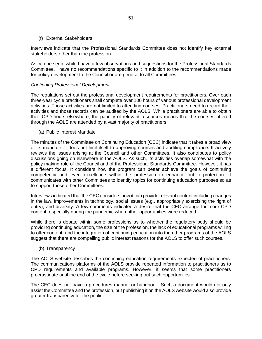#### <span id="page-51-0"></span>(f) External Stakeholders

Interviews indicate that the Professional Standards Committee does not identify key external stakeholders other than the profession.

As can be seen, while I have a few observations and suggestions for the Professional Standards Committee, I have no recommendations specific to it in addition to the recommendations made for policy development to the Council or are general to all Committees.

#### <span id="page-51-1"></span>*Continuing Professional Development*

The regulations set out the professional development requirements for practitioners. Over each three-year cycle practitioners shall complete over 100 hours of various professional development activities. Those activities are not limited to attending courses. Practitioners need to record their activities and those records can be audited by the AOLS. While practitioners are able to obtain their CPD hours elsewhere, the paucity of relevant resources means that the courses offered through the AOLS are attended by a vast majority of practitioners.

<span id="page-51-2"></span>(a) Public Interest Mandate

The minutes of the Committee on Continuing Education (CEC) indicate that it takes a broad view of its mandate. It does not limit itself to approving courses and auditing compliance. It actively reviews the issues arising at the Council and other Committees. It also contributes to policy discussions going on elsewhere in the AOLS. As such, its activities overlap somewhat with the policy making role of the Council and of the Professional Standards Committee. However, it has a different focus. It considers how the program can better achieve the goals of continuing competency and even excellence within the profession to enhance public protection. It communicates with other Committees to identify topics for continuing education purposes so as to support those other Committees.

Interviews indicated that the CEC considers how it can provide relevant content including changes in the law, improvements in technology, social issues (e.g., appropriately exercising the right of entry), and diversity. A few comments indicated a desire that the CEC arrange for more CPD content, especially during the pandemic when other opportunities were reduced.

While there is debate within some professions as to whether the regulatory body should be providing continuing education, the size of the profession, the lack of educational programs willing to offer content, and the integration of continuing education into the other programs of the AOLS suggest that there are compelling public interest reasons for the AOLS to offer such courses.

<span id="page-51-3"></span>(b) Transparency

The AOLS website describes the continuing education requirements expected of practitioners. The communications platforms of the AOLS provide repeated information to practitioners as to CPD requirements and available programs. However, it seems that some practitioners procrastinate until the end of the cycle before seeking out such opportunities.

The CEC does not have a procedures manual or handbook. Such a document would not only assist the Committee and the profession, but publishing it on the AOLS website would also provide greater transparency for the public.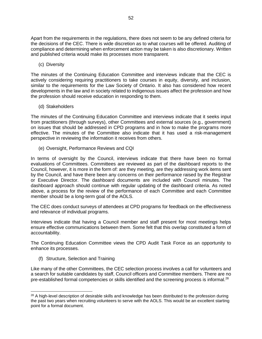Apart from the requirements in the regulations, there does not seem to be any defined criteria for the decisions of the CEC. There is wide discretion as to what courses will be offered. Auditing of compliance and determining when enforcement action may be taken is also discretionary. Written and published criteria would make its processes more transparent.

<span id="page-52-0"></span>(c) Diversity

The minutes of the Continuing Education Committee and interviews indicate that the CEC is actively considering requiring practitioners to take courses in equity, diversity, and inclusion, similar to the requirements for the Law Society of Ontario. It also has considered how recent developments in the law and in society related to indigenous issues affect the profession and how the profession should receive education in responding to them.

<span id="page-52-1"></span>(d) Stakeholders

The minutes of the Continuing Education Committee and interviews indicate that it seeks input from practitioners (through surveys), other Committees and external sources (e.g., government) on issues that should be addressed in CPD programs and in how to make the programs more effective. The minutes of the Committee also indicate that it has used a risk-management perspective in reviewing the information it receives from others.

<span id="page-52-2"></span>(e) Oversight, Performance Reviews and CQI

In terms of oversight by the Council, interviews indicate that there have been no formal evaluations of Committees. Committees are reviewed as part of the dashboard reports to the Council, however, it is more in the form of: are they meeting, are they addressing work items sent by the Council, and have there been any concerns on their performance raised by the Registrar or Executive Director. The dashboard documents are included with Council minutes. The dashboard approach should continue with regular updating of the dashboard criteria. As noted above, a process for the review of the performance of each Committee and each Committee member should be a long-term goal of the AOLS.

The CEC does conduct surveys of attendees at CPD programs for feedback on the effectiveness and relevance of individual programs.

Interviews indicate that having a Council member and staff present for most meetings helps ensure effective communications between them. Some felt that this overlap constituted a form of accountability.

The Continuing Education Committee views the CPD Audit Task Force as an opportunity to enhance its processes.

<span id="page-52-3"></span>(f) Structure, Selection and Training

Like many of the other Committees, the CEC selection process involves a call for volunteers and a search for suitable candidates by staff, Council officers and Committee members. There are no pre-established formal competencies or skills identified and the screening process is informal.<sup>28</sup>

<sup>&</sup>lt;sup>28</sup> A high-level description of desirable skills and knowledge has been distributed to the profession during the past two years when recruiting volunteers to serve with the AOLS. This would be an excellent starting point for a formal document.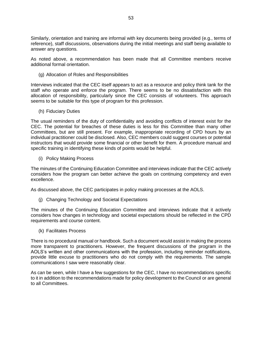Similarly, orientation and training are informal with key documents being provided (e.g., terms of reference), staff discussions, observations during the initial meetings and staff being available to answer any questions.

As noted above, a recommendation has been made that all Committee members receive additional formal orientation.

<span id="page-53-0"></span>(g) Allocation of Roles and Responsibilities

Interviews indicated that the CEC itself appears to act as a resource and policy think tank for the staff who operate and enforce the program. There seems to be no dissatisfaction with this allocation of responsibility, particularly since the CEC consists of volunteers. This approach seems to be suitable for this type of program for this profession.

<span id="page-53-1"></span>(h) Fiduciary Duties

The usual reminders of the duty of confidentiality and avoiding conflicts of interest exist for the CEC. The potential for breaches of these duties is less for this Committee than many other Committees, but are still present. For example, inappropriate recording of CPD hours by an individual practitioner could be disclosed. Also, CEC members could suggest courses or potential instructors that would provide some financial or other benefit for them. A procedure manual and specific training in identifying these kinds of points would be helpful.

<span id="page-53-2"></span>(i) Policy Making Process

The minutes of the Continuing Education Committee and interviews indicate that the CEC actively considers how the program can better achieve the goals on continuing competency and even excellence.

As discussed above, the CEC participates in policy making processes at the AOLS.

<span id="page-53-3"></span>(j) Changing Technology and Societal Expectations

The minutes of the Continuing Education Committee and interviews indicate that it actively considers how changes in technology and societal expectations should be reflected in the CPD requirements and course content.

<span id="page-53-4"></span>(k) Facilitates Process

There is no procedural manual or handbook. Such a document would assist in making the process more transparent to practitioners. However, the frequent discussions of the program in the AOLS's written and other communications with the profession, including reminder notifications, provide little excuse to practitioners who do not comply with the requirements. The sample communications I saw were reasonably clear.

As can be seen, while I have a few suggestions for the CEC, I have no recommendations specific to it in addition to the recommendations made for policy development to the Council or are general to all Committees.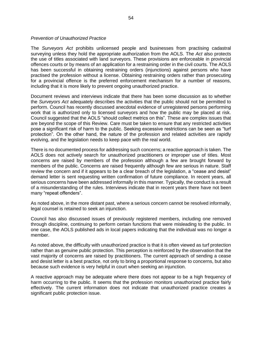#### <span id="page-54-0"></span>*Prevention of Unauthorized Practice*

The *Surveyors Act* prohibits unlicensed people and businesses from practising cadastral surveying unless they hold the appropriate authorization from the AOLS. The *Act* also protects the use of titles associated with land surveyors. These provisions are enforceable in provincial offences courts or by means of an application for a restraining order in the civil courts. The AOLS has been successful in obtaining restraining orders (injunctions) against persons who have practised the profession without a license. Obtaining restraining orders rather than prosecuting for a provincial offence is the preferred enforcement mechanism for a number of reasons, including that it is more likely to prevent ongoing unauthorized practice.

Document reviews and interviews indicate that there has been some discussion as to whether the *Surveyors Act* adequately describes the activities that the public should not be permitted to perform. Council has recently discussed anecdotal evidence of unregistered persons performing work that is authorized only to licensed surveyors and how the public may be placed at risk. Council suggested that the AOLS "should collect metrics on this". These are complex issues that are beyond the scope of this Review. Care must be taken to ensure that any restricted activities pose a significant risk of harm to the public. Seeking excessive restrictions can be seen as "turf protection". On the other hand, the nature of the profession and related activities are rapidly evolving, and the legislation needs to keep pace with the real world.

There is no documented process for addressing such concerns; a reactive approach is taken. The AOLS does not actively search for unauthorized practitioners or improper use of titles. Most concerns are raised by members of the profession although a few are brought forward by members of the public. Concerns are raised frequently although few are serious in nature. Staff review the concern and if it appears to be a clear breach of the legislation, a "cease and desist" demand letter is sent requesting written confirmation of future compliance. In recent years, all serious concerns have been addressed informally in this manner. Typically, the conduct is a result of a misunderstanding of the rules. Interviews indicate that in recent years there have not been many "repeat offenders".

As noted above, in the more distant past, where a serious concern cannot be resolved informally, legal counsel is retained to seek an injunction.

Council has also discussed issues of previously registered members, including one removed through discipline, continuing to perform certain functions that were misleading to the public. In one case, the AOLS published ads in local papers indicating that the individual was no longer a member.

As noted above, the difficulty with unauthorized practice is that it is often viewed as turf protection rather than as genuine public protection. This perception is reinforced by the observation that the vast majority of concerns are raised by practitioners. The current approach of sending a cease and desist letter is a best practice, not only to bring a proportional response to concerns, but also because such evidence is very helpful in court when seeking an injunction.

A reactive approach may be adequate where there does not appear to be a high frequency of harm occurring to the public. It seems that the profession monitors unauthorized practice fairly effectively. The current information does not indicate that unauthorized practice creates a significant public protection issue.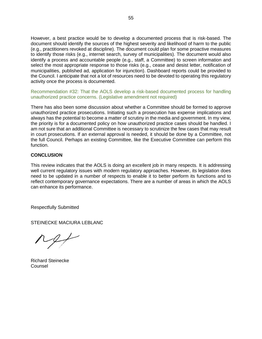However, a best practice would be to develop a documented process that is risk-based. The document should identify the sources of the highest severity and likelihood of harm to the public (e.g., practitioners revoked at discipline). The document could plan for some proactive measures to identify those risks (e.g., internet search, survey of municipalities). The document would also identify a process and accountable people (e.g., staff, a Committee) to screen information and select the most appropriate response to those risks (e.g., cease and desist letter, notification of municipalities, published ad, application for injunction). Dashboard reports could be provided to the Council. I anticipate that not a lot of resources need to be devoted to operating this regulatory activity once the process is documented.

Recommendation #32: That the AOLS develop a risk-based documented process for handling unauthorized practice concerns. (Legislative amendment not required)

There has also been some discussion about whether a Committee should be formed to approve unauthorized practice prosecutions. Initiating such a prosecution has expense implications and always has the potential to become a matter of scrutiny in the media and government. In my view, the priority is for a documented policy on how unauthorized practice cases should be handled. I am not sure that an additional Committee is necessary to scrutinize the few cases that may result in court prosecutions. If an external approval is needed, it should be done by a Committee, not the full Council. Perhaps an existing Committee, like the Executive Committee can perform this function.

# <span id="page-55-0"></span>**CONCLUSION**

This review indicates that the AOLS is doing an excellent job in many respects. It is addressing well current regulatory issues with modern regulatory approaches. However, its legislation does need to be updated in a number of respects to enable it to better perform its functions and to reflect contemporary governance expectations. There are a number of areas in which the AOLS can enhance its performance.

Respectfully Submitted

STEINECKE MACIURA LEBLANC

Richard Steinecke **Counsel**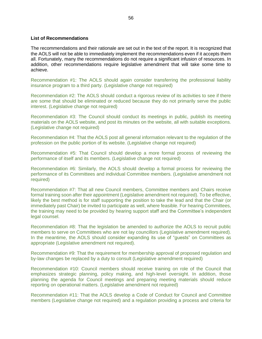#### **List of Recommendations**

The recommendations and their rationale are set out in the text of the report. It is recognized that the AOLS will not be able to immediately implement the recommendations even if it accepts them all. Fortunately, many the recommendations do not require a significant infusion of resources. In addition, other recommendations require legislative amendment that will take some time to achieve.

Recommendation #1: The AOLS should again consider transferring the professional liability insurance program to a third party. (Legislative change not required)

Recommendation #2: The AOLS should conduct a rigorous review of its activities to see if there are some that should be eliminated or reduced because they do not primarily serve the public interest. (Legislative change not required)

Recommendation #3: The Council should conduct its meetings in public, publish its meeting materials on the AOLS website, and post its minutes on the website, all with suitable exceptions. (Legislative change not required)

Recommendation #4: That the AOLS post all general information relevant to the regulation of the profession on the public portion of its website. (Legislative change not required)

Recommendation #5: That Council should develop a more formal process of reviewing the performance of itself and its members. (Legislative change not required)

Recommendation #6: Similarly, the AOLS should develop a formal process for reviewing the performance of its Committees and individual Committee members. (Legislative amendment not required)

Recommendation #7: That all new Council members, Committee members and Chairs receive formal training soon after their appointment (Legislative amendment not required). To be effective, likely the best method is for staff supporting the position to take the lead and that the Chair (or immediately past Chair) be invited to participate as well, where feasible. For hearing Committees, the training may need to be provided by hearing support staff and the Committee's independent legal counsel.

Recommendation #8: That the legislation be amended to authorize the AOLS to recruit public members to serve on Committees who are not lay councillors (Legislative amendment required). In the meantime, the AOLS should consider expanding its use of "guests" on Committees as appropriate (Legislative amendment not required).

Recommendation #9: That the requirement for membership approval of proposed regulation and by-law changes be replaced by a duty to consult (Legislative amendment required)

Recommendation #10: Council members should receive training on role of the Council that emphasizes strategic planning, policy making, and high-level oversight. In addition, those planning the agenda for Council meetings and preparing meeting materials should reduce reporting on operational matters. (Legislative amendment not required)

Recommendation #11: That the AOLS develop a Code of Conduct for Council and Committee members (Legislative change not required) and a regulation providing a process and criteria for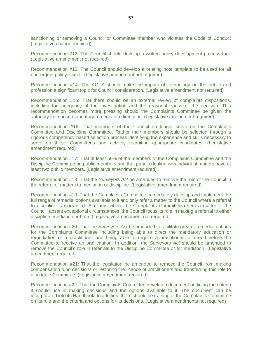sanctioning or removing a Council or Committee member who violates the Code of Conduct (Legislative change required).

Recommendation #12: The Council should develop a written policy development process tool. (Legislative amendment not required)

Recommendation #13: The Council should develop a briefing note template to be used for all non-urgent policy issues. (Legislative amendment not required)

Recommendation #14: The AOLS should make the impact of technology on the public and profession a significant topic for Council consideration. (Legislative amendment not required)

Recommendation #15: That there should be an external review of complaints dispositions, including the adequacy of the investigation and the reasonableness of the decision. This recommendation becomes more pressing should the Complaints Committee be given the authority to impose mandatory remediation directions. (Legislative amendment required)

Recommendation #16: That members of the Council no longer serve on the Complaints Committee and Discipline Committee. Rather their members should be selected through a rigorous competency-based selection process identifying the experience and skills necessary to serve on these Committees and actively recruiting appropriate candidates. (Legislative amendment required)

Recommendation #17: That at least 50% of the members of the Complaints Committee and the Discipline Committee be public members and that panels dealing with individual matters have at least two public members. (Legislative amendment required)

Recommendation #18: That the *Surveyors Act* be amended to remove the role of the Council in the referral of matters to mediation or discipline. (Legislative amendment required)

Recommendation #19: That the Complaints Committee immediately develop and implement the full range of remedial options available to it and only refer a matter to the Council where a referral to discipline is warranted. Similarly, where the Complaints Committee refers a matter to the Council, absent exceptional circumstances, the Council focus its role in making a referral to either discipline, mediation or both. (Legislative amendment not required)

Recommendation #20: That the *Surveyors Act* be amended to facilitate greater remedial options for the Complaints Committee including being able to direct the mandatory education or remediation of a practitioner and being able to require a practitioner to attend before the Committee to receive an oral caution. In addition, the *Surveyors Act* should be amended to remove the Council's role in referrals to the Discipline Committee or for mediation. (Legislative amendment required).

Recommendation #21: That the legislation be amended to remove the Council from making compensation fund decisions or restoring the licence of practitioners and transferring this role to a suitable Committee. (Legislative amendment required)

Recommendation #22: That the Complaints Committee develop a document outlining the criteria it should use in making decisions and the options available to it. The document can be incorporated into its Handbook. In addition, there should be training of the Complaints Committee on its role and the criteria and options for its decisions. (Legislative amendments not required)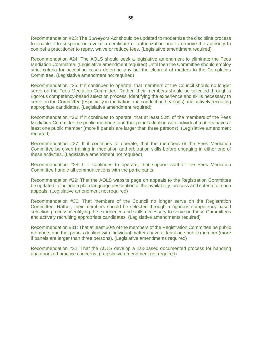Recommendation #23: The *Surveyors Act* should be updated to modernize the discipline process to enable it to suspend or revoke a certificate of authorization and to remove the authority to compel a practitioner to repay, waive or reduce fees. (Legislative amendment required)

Recommendation #24: The AOLS should seek a legislative amendment to eliminate the Fees Mediation Committee. (Legislative amendment required) Until then the Committee should employ strict criteria for accepting cases deferring any but the clearest of matters to the Complaints Committee. (Legislative amendment not required)

Recommendation #25: If it continues to operate, that members of the Council should no longer serve on the Fees Mediation Committee. Rather, their members should be selected through a rigorous competency-based selection process, identifying the experience and skills necessary to serve on the Committee (especially in mediation and conducting hearings) and actively recruiting appropriate candidates. (Legislative amendment required)

Recommendation #26: If it continues to operate, that at least 50% of the members of the Fees Mediation Committee be public members and that panels dealing with individual matters have at least one public member (more if panels are larger than three persons). (Legislative amendment required)

Recommendation #27: If it continues to operate, that the members of the Fees Mediation Committee be given training in mediation and arbitration skills before engaging in either one of these activities. (Legislative amendment not required)

Recommendation #28: If it continues to operate, that support staff of the Fees Mediation Committee handle all communications with the participants.

Recommendation #29: That the AOLS website page on appeals to the Registration Committee be updated to include a plain language description of the availability, process and criteria for such appeals. (Legislative amendment not required)

Recommendation #30: That members of the Council no longer serve on the Registration Committee. Rather, their members should be selected through a rigorous competency-based selection process identifying the experience and skills necessary to serve on these Committees and actively recruiting appropriate candidates. (Legislative amendments required)

Recommendation #31: That at least 50% of the members of the Registration Committee be public members and that panels dealing with individual matters have at least one public member (more if panels are larger than three persons). (Legislative amendments required)

Recommendation #32: That the AOLS develop a risk-based documented process for handling unauthorized practice concerns. (Legislative amendment not required)